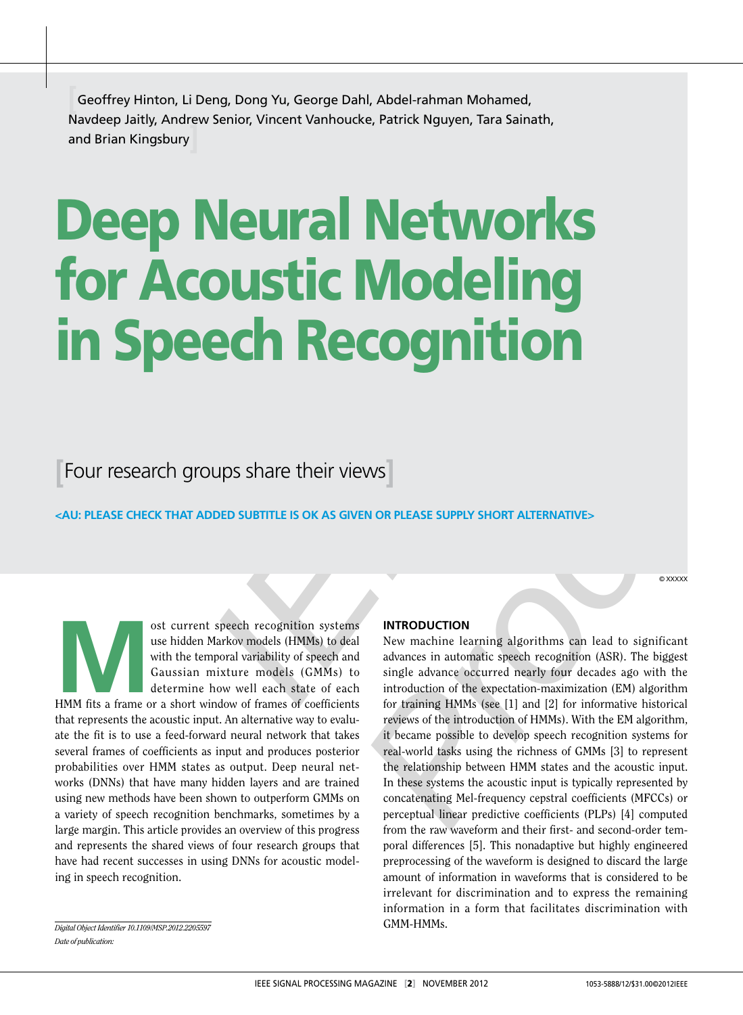**[**Geoffrey Hinton, Li Deng, Dong Yu, George Dahl, Abdel-rahman Mohamed, Navdeep Jaitly, Andrew Senior, Vincent Vanhoucke, Patrick Nguyen, Tara Sainath, and Brian Kingsbury

# Deep Neural Networks for Acoustic Modeling in Speech Recognition

**[**Four research groups share their views**]** 

**<AU: ple ase check th at added s ubtitle is Ok as given or ple ase s upply sh ort altern ative>**

© xxxxx

ost current speech recognition systems<br>
use hidden Markov models (HMMs) to deal<br>
with the temporal variability of speech and<br>
Gaussian mixture models (GMMs) to<br>
determine how well each state of each<br>
HMM fits a frame or a use hidden Markov models (HMMs) to deal with the temporal variability of speech and Gaussian mixture models (GMMs) to determine how well each state of each that represents the acoustic input. An alternative way to evalu ate the fit is to use a feed-forward neural network that takes several frames of coefficients as input and produces posterior probabilities over HMM states as output. Deep neural net works (DNNs) that have many hidden layers and are trained using new methods have been shown to outperform GMMs on a variety of speech recognition benchmarks, sometimes by a large margin. This article provides an overview of this progress and represents the shared views of four research groups that have had recent successes in using DNNs for acoustic modeling in speech recognition.

#### **introduction**

**EXECTS AND THE SECTS OF THE SET AND THE SET AND THE SET AND DESCRIPTION SPONSIBITIES OK AS GIVEN OR PLEASE SUPPLY SHORT ALTERNATIVES<br>
SPOED SUBTITLE IS OK AS GIVEN OR PLEASE SUPPLY SHORT ALTERNATIVES<br>
Markow medials (HMMS** New machine learning algorithms can lead to significant advances in automatic speech recognition (ASR). The biggest single advance occurred nearly four decades ago with the introduction of the expectation-maximization (EM) algorithm for training HMMs (see [1] and [2] for informative historical reviews of the introduction of HMMs). With the EM algorithm, it became possible to develop speech recognition systems for real-world tasks using the richness of GMMs [3] to represent the relationship between HMM states and the acoustic input. In these systems the acoustic input is typically represented by concatenating Mel-frequency cepstral coefficients (MFCCs) or perceptual linear predictive coefficients (PLPs) [4] computed from the raw waveform and their first- and second-order tem poral differences [5]. This nonadaptive but highly engineered preprocessing of the waveform is designed to discard the large amount of information in waveforms that is considered to be irrelevant for discrimination and to express the remaining information in a form that facilitates discrimination with GMM-HMMs.

*Digital Object Identifier 10.1109/MSP.2012.2205597 Date of publication:*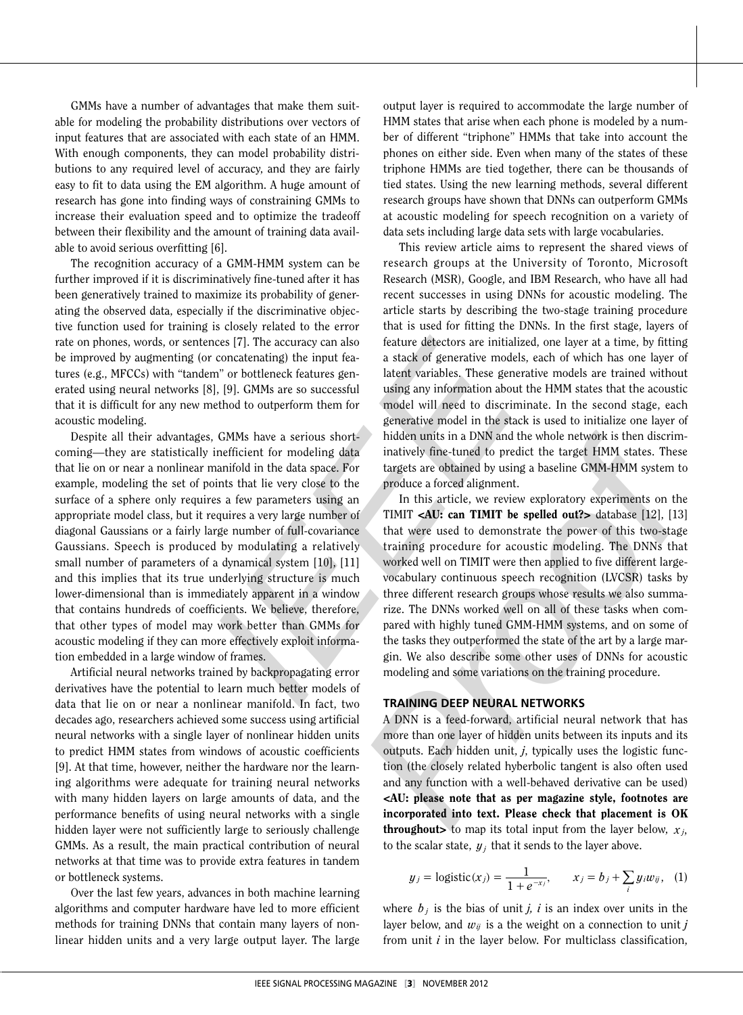GMMs have a number of advantages that make them suit able for modeling the probability distributions over vectors of input features that are associated with each state of an HMM. With enough components, they can model probability distri butions to any required level of accuracy, and they are fairly easy to fit to data using the EM algorithm. A huge amount of research has gone into finding ways of constraining GMMs to increase their evaluation speed and to optimize the tradeoff between their flexibility and the amount of training data avail able to avoid serious overfitting [ 6].

The recognition accuracy of a GMM-HMM system can be further improved if it is discriminatively fine-tuned after it has been generatively trained to maximize its probability of gener ating the observed data, especially if the discriminative objec tive function used for training is closely related to the error rate on phones, words, or sentences [ 7]. The accuracy can also be improved by augmenting (or concatenating) the input fea tures (e.g., MFCCs) with "tandem" or bottleneck features gen erated using neural networks [8], [ 9]. GMMs are so successful that it is difficult for any new method to outperform them for acoustic modeling.

Despite all their advantages, GMMs have a serious short coming—they are statistically inefficient for modeling data that lie on or near a nonlinear manifold in the data space. For example, modeling the set of points that lie very close to the surface of a sphere only requires a few parameters using an appropriate model class, but it requires a very large number of diagonal Gaussians or a fairly large number of full-covariance Gaussians. Speech is produced by modulating a relatively small number of parameters of a dynamical system [10], [11] and this implies that its true underlying structure is much lower-dimensional than is immediately apparent in a window that contains hundreds of coefficients. We believe, therefore, that other types of model may work better than GMMs for acoustic modeling if they can more effectively exploit informa tion embedded in a large window of frames.

Artificial neural networks trained by backpropagating error derivatives have the potential to learn much better models of data that lie on or near a nonlinear manifold. In fact, two decades ago, researchers achieved some success using artificial neural networks with a single layer of nonlinear hidden units to predict HMM states from windows of acoustic coefficients [9]. At that time, however, neither the hardware nor the learning algorithms were adequate for training neural networks with many hidden layers on large amounts of data, and the performance benefits of using neural networks with a single hidden layer were not sufficiently large to seriously challenge GMMs. As a result, the main practical contribution of neural networks at that time was to provide extra features in tandem or bottleneck systems.

Over the last few years, advances in both machine learning algorithms and computer hardware have led to more efficient methods for training DNNs that contain many layers of non linear hidden units and a very large output layer. The large

output layer is required to accommodate the large number of HMM states that arise when each phone is modeled by a num ber of different "triphone" HMMs that take into account the phones on either side. Even when many of the states of these triphone HMMs are tied together, there can be thousands of tied states. Using the new learning methods, several different research groups have shown that DNNs can outperform GMMs at acoustic modeling for speech recognition on a variety of data sets including large data sets with large vocabularies.

This review article aims to represent the shared views of research groups at the University of Toronto, Microsoft Research (MSR), Google, and IBM Research, who have all had recent successes in using DNNs for acoustic modeling. The article starts by describing the two-stage training procedure that is used for fitting the DNNs. In the first stage, layers of feature detectors are initialized, one layer at a time, by fitting a stack of generative models, each of which has one layer of latent variables. These generative models are trained without using any information about the HMM states that the acoustic model will need to discriminate. In the second stage, each generative model in the stack is used to initialize one layer of hidden units in a DNN and the whole network is then discrim inatively fine-tuned to predict the target HMM states. These targets are obtained by using a baseline GMM-HMM system to produce a forced alignment.

is closely related to the error that is used for fitting the DNNs. In the first stage, layers of the error that is used for fitting the DNNs. In the first stage, layers once the properties (alternating) the input feasible In this article, we review exploratory experiments on the TIMIT <AU: can TIMIT be spelled out?> database [12], [13] that were used to demonstrate the power of this two-stage training procedure for acoustic modeling. The DNNs that worked well on TIMIT were then applied to five different largevocabulary continuous speech recognition (LVCSR) tasks by three different research groups whose results we also summa rize. The DNNs worked well on all of these tasks when com pared with highly tuned GMM-HMM systems, and on some of the tasks they outperformed the state of the art by a large mar gin. We also describe some other uses of DNNs for acoustic modeling and some variations on the training procedure.

#### **Training deep neural networks**

A DNN is a feed-forward, artificial neural network that has more than one layer of hidden units between its inputs and its outputs. Each hidden unit, *j*, typically uses the logistic func tion (the closely related hyberbolic tangent is also often used and any function with a well-behaved derivative can be used) <AU: please note that as per magazine style, footnotes are incorporated into text. Please check that placement is OK **throughout>** to map its total input from the layer below,  $x_j$ , to the scalar state,  $y_j$  that it sends to the layer above.

$$
y_j = \text{logistic}(x_j) = \frac{1}{1 + e^{-x_j}}, \qquad x_j = b_j + \sum_i y_i w_{ij}, \quad (1)
$$

where  $b_j$  is the bias of unit *j, i* is an index over units in the layer below, and  $w_{ij}$  is a the weight on a connection to unit  $j$ from unit *i* in the layer below. For multiclass classification,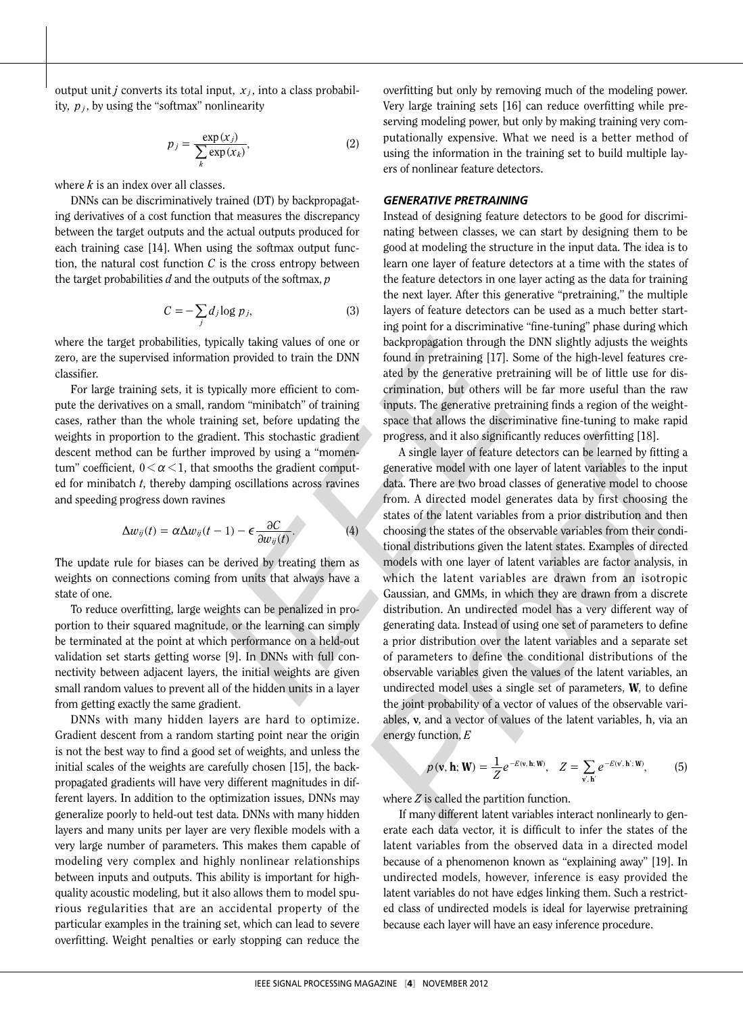output unit *j* converts its total input,  $x_j$ , into a class probability,  $p_j$ , by using the "softmax" nonlinearity

$$
p_j = \frac{\exp(x_j)}{\sum_{k} \exp(x_k)},
$$
 (2)

where *k* is an index over all classes.

DNNs can be discriminatively trained (DT) by backpropagat ing derivatives of a cost function that measures the discrepancy between the target outputs and the actual outputs produced for each training case [14]. When using the softmax output function, the natural cost function *C* is the cross entropy between the target probabilities *d* and the outputs of the softmax, *p*

$$
C = -\sum_{j} d_j \log p_j,\tag{3}
$$

where the target probabilities, typically taking values of one or zero, are the supervised information provided to train the DNN classifier.

For large training sets, it is typically more efficient to com pute the derivatives on a small, random "minibatch" of training cases, rather than the whole training set, before updating the weights in proportion to the gradient. This stochastic gradient descent method can be further improved by using a "momen tum" coefficient,  $0 < \alpha < 1$ , that smooths the gradient computed for minibatch *t*, thereby damping oscillations across ravines and speeding progress down ravines

$$
\Delta w_{ij}(t) = \alpha \Delta w_{ij}(t-1) - \epsilon \frac{\partial C}{\partial w_{ij}(t)}.
$$
 (4)

The update rule for biases can be derived by treating them as weights on connections coming from units that always have a state of one.

To reduce overfitting, large weights can be penalized in pro portion to their squared magnitude, or the learning can simply be terminated at the point at which performance on a held-out validation set starts getting worse [ 9]. In DNNs with full con nectivity between adjacent layers, the initial weights are given small random values to prevent all of the hidden units in a layer from getting exactly the same gradient.

DNNs with many hidden layers are hard to optimize. Gradient descent from a random starting point near the origin is not the best way to find a good set of weights, and unless the initial scales of the weights are carefully chosen [15], the back propagated gradients will have very different magnitudes in different layers. In addition to the optimization issues, DNNs may generalize poorly to held-out test data. DNNs with many hidden layers and many units per layer are very flexible models with a very large number of parameters. This makes them capable of modeling very complex and highly nonlinear relationships between inputs and outputs. This ability is important for highquality acoustic modeling, but it also allows them to model spurious regularities that are an accidental property of the particular examples in the training set, which can lead to severe overfitting. Weight penalties or early stopping can reduce the

overfitting but only by removing much of the modeling power. Very large training sets [16] can reduce overfitting while pre serving modeling power, but only by making training very com putationally expensive. What we need is a better method of using the information in the training set to build multiple lay ers of nonlinear feature detectors.

#### *Generative pretrainin g*

Instead of designing feature detectors to be good for discrimi nating between classes, we can start by designing them to be good at modeling the structure in the input data. The idea is to learn one layer of feature detectors at a time with the states of the feature detectors in one layer acting as the data for training the next layer. After this generative "pretraining," the multiple layers of feature detectors can be used as a much better start ing point for a discriminative "fine-tuning" phase during which backpropagation through the DNN slightly adjusts the weights found in pretraining [17]. Some of the high-level features cre ated by the generative pretraining will be of little use for dis crimination, but others will be far more useful than the raw inputs. The generative pretraining finds a region of the weightspace that allows the discriminative fine-tuning to make rapid progress, and it also significantly reduces overfitting [18].

ginally taking values of one or hardcominative "fine-tuning" phase during whistlib provided to train the DNN found in pretraining [17]. Some of the high-level features reporting that<br>tion provided to train the DNN found i A single layer of feature detectors can be learned by fitting a generative model with one layer of latent variables to the input data. There are two broad classes of generative model to choose from. A directed model generates data by first choosing the states of the latent variables from a prior distribution and then choosing the states of the observable variables from their condi tional distributions given the latent states. Examples of directed models with one layer of latent variables are factor analysis, in which the latent variables are drawn from an isotropic Gaussian, and GMMs, in which they are drawn from a discrete distribution. An undirected model has a very different way of generating data. Instead of using one set of parameters to define a prior distribution over the latent variables and a separate set of parameters to define the conditional distributions of the observable variables given the values of the latent variables, an undirected model uses a single set of parameters, W, to define the joint probability of a vector of values of the observable vari ables, v, and a vector of values of the latent variables, **h**, via an energy function, *E*

$$
p(\mathbf{v}, \mathbf{h}; \mathbf{W}) = \frac{1}{Z} e^{-E(\mathbf{v}, \mathbf{h}; \mathbf{W})}, \quad Z = \sum_{\mathbf{v}', \mathbf{h}'} e^{-E(\mathbf{v}', \mathbf{h}'; \mathbf{W})}, \tag{5}
$$

where *Z* is called the partition function.

If many different latent variables interact nonlinearly to gen erate each data vector, it is difficult to infer the states of the latent variables from the observed data in a directed model because of a phenomenon known as "explaining away" [19]. In undirected models, however, inference is easy provided the latent variables do not have edges linking them. Such a restrict ed class of undirected models is ideal for layerwise pretraining because each layer will have an easy inference procedure.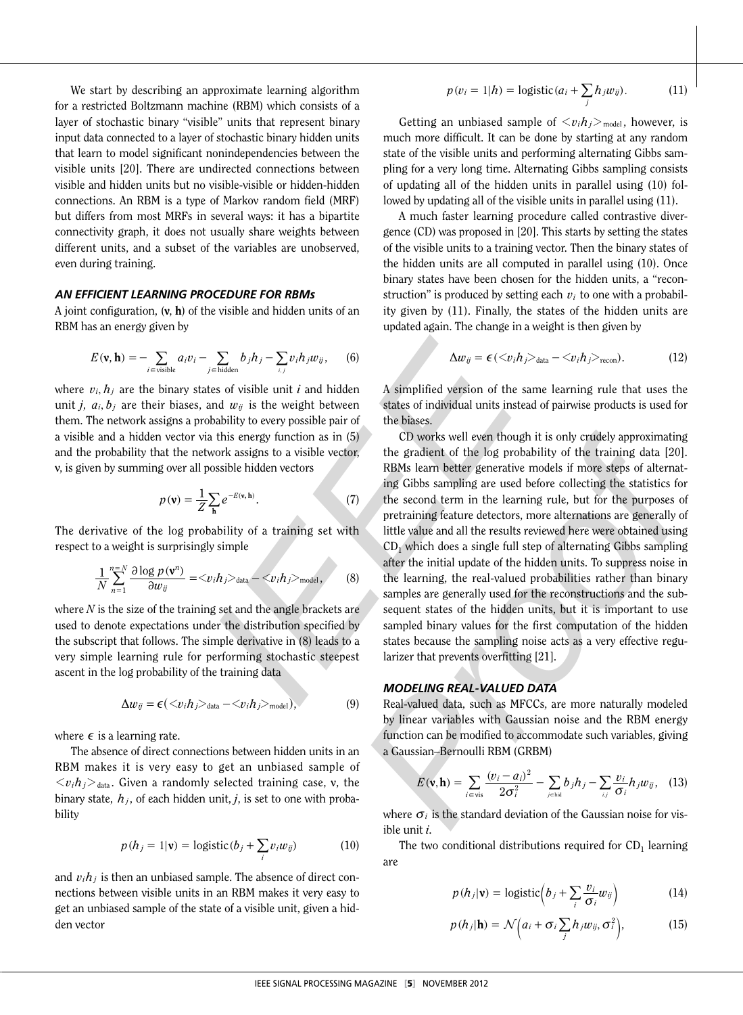We start by describing an approximate learning algorithm for a restricted Boltzmann machine (RBM) which consists of a layer of stochastic binary "visible" units that represent binary input data connected to a layer of stochastic binary hidden units that learn to model significant nonindependencies between the visible units [20]. There are undirected connections between visible and hidden units but no visible-visible or hidden-hidden connections. An RBM is a type of Markov random field (MRF) but differs from most MRFs in several ways: it has a bipartite connectivity graph, it does not usually share weights between different units, and a subset of the variables are unobserved, even during training.

#### *An efficient learnin g procedure for RBMs*

A joint configuration,  $(v, h)$  of the visible and hidden units of an RBM has an energy given by

$$
E(\mathbf{v}, \mathbf{h}) = -\sum_{i \in \text{visible}} a_i v_i - \sum_{j \in \text{hidden}} b_j h_j - \sum_{i,j} v_i h_j w_{ij}, \qquad (6)
$$

where  $v_i, h_j$  are the binary states of visible unit  $i$  and hidden unit *j*,  $a_i, b_j$  are their biases, and  $w_{ij}$  is the weight between them. The network assigns a probability to every possible pair of a visible and a hidden vector via this energy function as in (5) and the probability that the network assigns to a visible vector, **v**, is given by summing over all possible hidden vectors

$$
p(\mathbf{v}) = \frac{1}{Z} \sum_{\mathbf{h}} e^{-E(\mathbf{v}, \mathbf{h})}.
$$
 (7)

The derivative of the log probability of a training set with respect to a weight is surprisingly simple

$$
\frac{1}{N}\sum_{n=1}^{n=N}\frac{\partial\log p\left(\mathbf{v}^{n}\right)}{\partial w_{ij}}=\langle v_{i}h_{j}\rangle_{\text{data}}-\langle v_{i}h_{j}\rangle_{\text{model}},\qquad(8)
$$

where *N* is the size of the training set and the angle brackets are used to denote expectations under the distribution specified by the subscript that follows. The simple derivative in (8) leads to a very simple learning rule for performing stochastic steepest ascent in the log probability of the training data

$$
\Delta w_{ij} = \epsilon (\langle v_i h_j \rangle_{data} - \langle v_i h_j \rangle_{model}), \qquad (9)
$$

where  $\epsilon$  is a learning rate.

The absence of direct connections between hidden units in an RBM makes it is very easy to get an unbiased sample of  $\langle v_i h_j \rangle$ <sub>data</sub>. Given a randomly selected training case, v, the binary state,  $h_j$ , of each hidden unit,  $j$ , is set to one with probability

$$
p(h_j = 1 | \mathbf{v}) = \text{logistic}(b_j + \sum_i v_i w_{ij}) \tag{10}
$$

and  $v_i h_j$  is then an unbiased sample. The absence of direct connections between visible units in an RBM makes it very easy to get an unbiased sample of the state of a visible unit, given a hid den vector

$$
p(v_i = 1 | h) = \text{logistic}(a_i + \sum_j h_j w_{ij}). \tag{11}
$$

Getting an unbiased sample of  $\langle v_i h_j \rangle_{\text{model}}$ , however, is much more difficult. It can be done by starting at any random state of the visible units and performing alternating Gibbs sam pling for a very long time. Alternating Gibbs sampling consists of updating all of the hidden units in parallel using (10) fol lowed by updating all of the visible units in parallel using (11).

A much faster learning procedure called contrastive divergence (CD) was proposed in [20]. This starts by setting the states of the visible units to a training vector. Then the binary states of the hidden units are all computed in parallel using (10). Once binary states have been chosen for the hidden units, a "recon struction" is produced by setting each  $v_i$  to one with a probability given by (11). Finally, the states of the hidden units are updated again. The change in a weight is then given by

$$
\Delta w_{ij} = \epsilon \left( \langle v_i h_j \rangle_{\text{data}} - \langle v_i h_j \rangle_{\text{recon}} \right). \tag{12}
$$

A simplified version of the same learning rule that uses the states of individual units instead of pairwise products is used for the biases.

updated again. The change in a weight is then given by<br>  $\sum_{j=\text{total}} b_j h_j = \sum_{j=\text{total}} b_j h_j = \sum_{j=\text{total}} b_j h_j = 0$ . (12)<br>
Its of visible unit *i* and hidden<br>
A simplified version of the same learning rule that uses the<br>
and  $w_j$  is t CD works well even though it is only crudely approximating the gradient of the log probability of the training data [20]. RBMs learn better generative models if more steps of alternat ing Gibbs sampling are used before collecting the statistics for the second term in the learning rule, but for the purposes of pretraining feature detectors, more alternations are generally of little value and all the results reviewed here were obtained using  $CD<sub>1</sub>$  which does a single full step of alternating Gibbs sampling after the initial update of the hidden units. To suppress noise in the learning, the real-valued probabilities rather than binary samples are generally used for the reconstructions and the subsequent states of the hidden units, but it is important to use sampled binary values for the first computation of the hidden states because the sampling noise acts as a very effective regu larizer that prevents overfitting [21].

#### *Modelin g real-valued data*

Real-valued data, such as MFCCs, are more naturally modeled by linear variables with Gaussian noise and the RBM energy function can be modified to accommodate such variables, giving a Gaussian–Bernoulli RBM (GRBM)

$$
E(\mathbf{v}, \mathbf{h}) = \sum_{i \in \text{vis}} \frac{(v_i - a_i)^2}{2\sigma_i^2} - \sum_{j \in \text{hid}} b_j h_j - \sum_{i,j} \frac{v_i}{\sigma_i} h_j w_{ij}, \quad (13)
$$

where  $\sigma_i$  is the standard deviation of the Gaussian noise for visible unit *i*.

The two conditional distributions required for  $CD_1$  learning are

$$
p(h_j|\mathbf{v}) = \text{logistic}\Big(b_j + \sum_i \frac{v_i}{\sigma_i} w_{ij}\Big) \tag{14}
$$

$$
p(h_j|\mathbf{h}) = \mathcal{N}\Big(a_i + \sigma_i \sum_j h_j w_{ij}, \sigma_i^2\Big), \qquad (15)
$$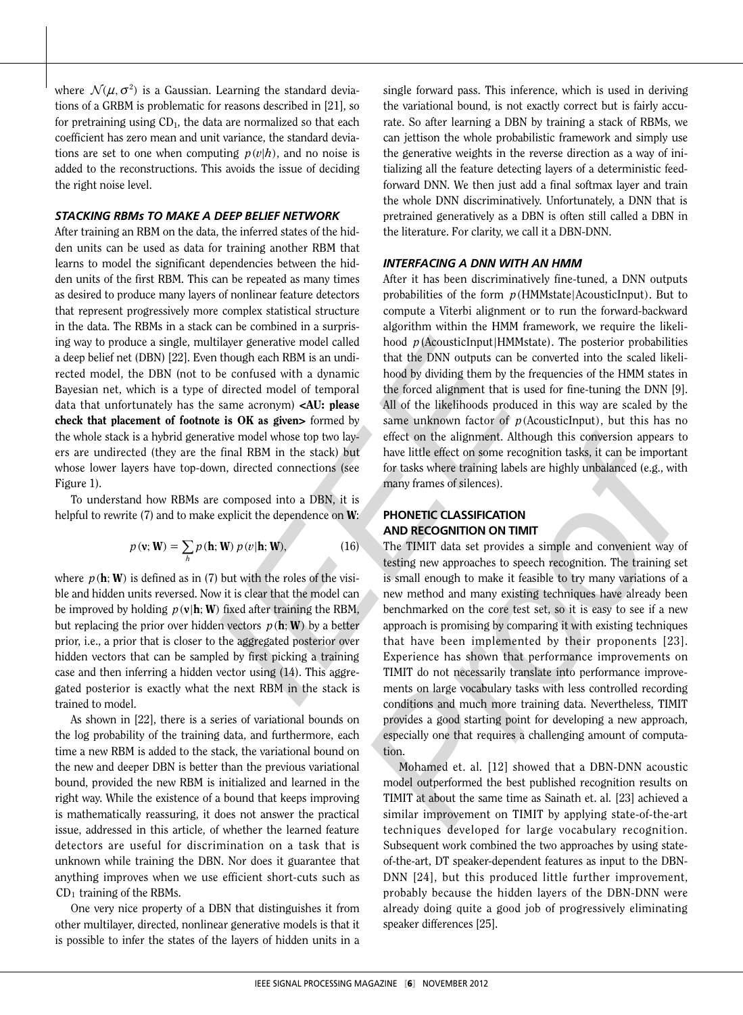where  $\mathcal{N}(\mu, \sigma^2)$  is a Gaussian. Learning the standard deviations of a GRBM is problematic for reasons described in [21], so for pretraining using CD 1, the data are normalized so that each coefficient has zero mean and unit variance, the standard devia tions are set to one when computing  $p(v|h)$ , and no noise is added to the reconstructions. This avoids the issue of deciding the right noise level.

#### *Stackin RBMs to make a deep belief network g*

After training an RBM on the data, the inferred states of the hid den units can be used as data for training another RBM that learns to model the significant dependencies between the hidden units of the first RBM. This can be repeated as many times as desired to produce many layers of nonlinear feature detectors that represent progressively more complex statistical structure in the data. The RBMs in a stack can be combined in a surpris ing way to produce a single, multilayer generative model called a deep belief net (DBN) [22]. Even though each RBM is an undi rected model, the DBN (not to be confused with a dynamic Bayesian net, which is a type of directed model of temporal data that unfortunately has the same acronym) <AU: please check that placement of footnote is OK as given> formed by the whole stack is a hybrid generative model whose top two lay ers are undirected (they are the final RBM in the stack) but whose lower layers have top-down, directed connections (see Figure 1).

To understand how RBMs are composed into a DBN, it is helpful to rewrite (7) and to make explicit the dependence on **W**:

$$
p(\mathbf{v}; \mathbf{W}) = \sum_{h} p(\mathbf{h}; \mathbf{W}) p(v|\mathbf{h}; \mathbf{W}), \qquad (16)
$$

where  $p(\mathbf{h}; \mathbf{W})$  is defined as in (7) but with the roles of the visible and hidden units reversed. Now it is clear that the model can be improved by holding  $p(\mathbf{v}|\mathbf{h}; \mathbf{W})$  fixed after training the RBM, but replacing the prior over hidden vectors  $p(\mathbf{h}; \mathbf{W})$  by a better prior, i.e., a prior that is closer to the aggregated posterior over hidden vectors that can be sampled by first picking a training case and then inferring a hidden vector using (14). This aggre gated posterior is exactly what the next RBM in the stack is trained to model.

As shown in [22], there is a series of variational bounds on the log probability of the training data, and furthermore, each time a new RBM is added to the stack, the variational bound on the new and deeper DBN is better than the previous variational bound, provided the new RBM is initialized and learned in the right way. While the existence of a bound that keeps improving is mathematically reassuring, it does not answer the practical issue, addressed in this article, of whether the learned feature detectors are useful for discrimination on a task that is unknown while training the DBN. Nor does it guarantee that anything improves when we use efficient short-cuts such as CD <sup>1</sup> training of the RBMs.

One very nice property of a DBN that distinguishes it from other multilayer, directed, nonlinear generative models is that it is possible to infer the states of the layers of hidden units in a

single forward pass. This inference, which is used in deriving the variational bound, is not exactly correct but is fairly accu rate. So after learning a DBN by training a stack of RBMs, we can jettison the whole probabilistic framework and simply use the generative weights in the reverse direction as a way of ini tializing all the feature detecting layers of a deterministic feedforward DNN. We then just add a final softmax layer and train the whole DNN discriminatively. Unfortunately, a DNN that is pretrained generatively as a DBN is often still called a DBN in the literature. For clarity, we call it a DBN-DNN.

#### *Interfacing a DNN with an HMM*

After it has been discriminatively fine-tuned, a DNN outputs probabilities of the form  $p$ (HMMstate|AcousticInput). But to compute a Viterbi alignment or to run the forward-backward algorithm within the HMM framework, we require the likeli hood p(AcousticInput|HMMstate). The posterior probabilities that the DNN outputs can be converted into the scaled likeli hood by dividing them by the frequencies of the HMM states in the forced alignment that is used for fine-tuning the DNN [ 9]. All of the likelihoods produced in this way are scaled by the same unknown factor of  $p$  (AcousticInput), but this has no effect on the alignment. Although this conversion appears to have little effect on some recognition tasks, it can be important for tasks where training labels are highly unbalanced (e.g., with many frames of silences).

#### **Phonetic Classificati on and Rec ogniti on on TI MIT**

is can be combined in a supprise<br>algorithm within the HMM framework, we require the likeli-<br>in though can head algorithm within the HMM framework, we require the likeli-<br>in though each RBM is an unditable that the DNN out The TIMIT data set provides a simple and convenient way of testing new approaches to speech recognition. The training set is small enough to make it feasible to try many variations of a new method and many existing techniques have already been benchmarked on the core test set, so it is easy to see if a new approach is promising by comparing it with existing techniques that have been implemented by their proponents [23]. Experience has shown that performance improvements on TIMIT do not necessarily translate into performance improve ments on large vocabulary tasks with less controlled recording conditions and much more training data. Nevertheless, TIMIT provides a good starting point for developing a new approach, especially one that requires a challenging amount of computa tion.

Mohamed et. al *.* [12] showed that a DBN-DNN acoustic model outperformed the best published recognition results on TIMIT at about the same time as Sainath et. al *.* [23] achieved a similar improvement on TIMIT by applying state-of-the-art techniques developed for large vocabulary recognition. Subsequent work combined the two approaches by using stateof-the-art, DT speaker-dependent features as input to the DBN-DNN [24], but this produced little further improvement, probably because the hidden layers of the DBN-DNN were already doing quite a good job of progressively eliminating speaker differences [25].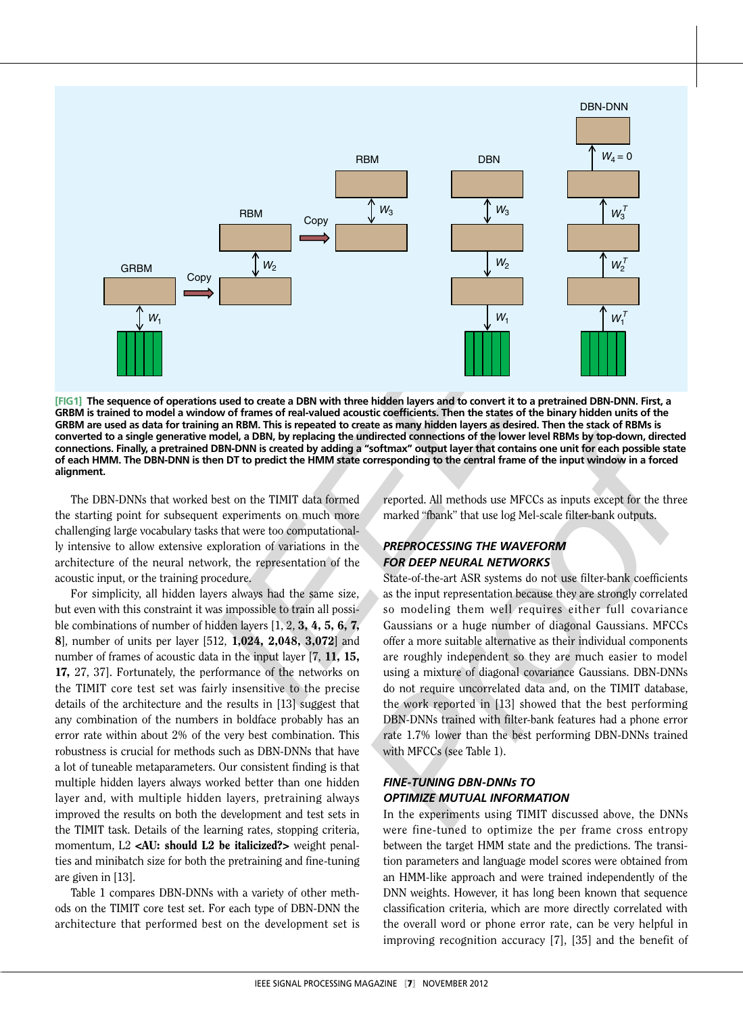

**[ Fig1] The sequence of operations used to create a DBN with three hidden layers and to convert it to a pretrained DBN -DNN. First, a GRBM is trained to model a window of frames of real-valued acoustic coefficients. Then the states of the binary hidden units of the**  GRBM are used as data for training an RBM. This is repeated to create as many hidden layers as desired. Then the stack of RBMs is **converted to a single generative model, a DBN, by replacing the undirected connections of the lower level RBMs by top-down, directed**  connections. Finally, a pretrained DBN-DNN is created by adding a "softmax" output layer that contains one unit for each possible state of each HMM. The DBN-DNN is then DT to predict the HMM state corresponding to the central frame of the input window in a forced **alignment.**

The DBN-DNNs that worked best on the TIMIT data formed the starting point for subsequent experiments on much more challenging large vocabulary tasks that were too computational ly intensive to allow extensive exploration of variations in the architecture of the neural network, the representation of the acoustic input, or the training procedure.

For simplicity, all hidden layers always had the same size, but even with this constraint it was impossible to train all possi ble combinations of number of hidden layers  $[1, 2, 3, 4, 5, 6, 7, 8]$ , number of units per layer  $[512, 1,024, 2,048, 3,072]$  and number of frames of acoustic data in the input layer [7, 11, 15, 17, 27, 37]. Fortunately, the performance of the networks on the TIMIT core test set was fairly insensitive to the precise details of the architecture and the results in [13] suggest that any combination of the numbers in boldface probably has an error rate within about 2% of the very best combination. This robustness is crucial for methods such as DBN-DNNs that have a lot of tuneable metaparameters. Our consistent finding is that multiple hidden layers always worked better than one hidden layer and, with multiple hidden layers, pretraining always improved the results on both the development and test sets in the TIMIT task. Details of the learning rates, stopping criteria, momentum, L2 <AU: should L2 be italicized?> weight penalties and minibatch size for both the pretraining and fine-tuning are given in [13].

Table 1 compares DBN-DNNs with a variety of other methods on the TIMIT core test set. For each type of DBN-DNN the architecture that performed best on the development set is reported. All methods use MFCCs as inputs except for the three marked "fbank" that use log Mel-scale filter-bank outputs.

## *Preprocessing the waveform for deep neural networks*

The state of create a DBN with three hidden layers and to convert it to a pretrained DBN-DNN. First, a<br>low of frames of real-valued acoustic coefficients. Then the states of the binary hidden units of the<br>homed, a DBN-DNN State-of-the-art ASR systems do not use filter-bank coefficients as the input representation because they are strongly correlated so modeling them well requires either full covariance Gaussians or a huge number of diagonal Gaussians. MFCCs offer a more suitable alternative as their individual components are roughly independent so they are much easier to model using a mixture of diagonal covariance Gaussians. DBN-DNNs do not require uncorrelated data and, on the TIMIT database, the work reported in [13] showed that the best performing DBN-DNNs trained with filter-bank features had a phone error rate 1.7% lower than the best performing DBN-DNNs trained with MFCCs (see Table 1).

## *Fine-tuning DBN-DNNs to optimize mutual infor mation*

In the experiments using TIMIT discussed above, the DNNs were fine-tuned to optimize the per frame cross entropy between the target HMM state and the predictions. The transi tion parameters and language model scores were obtained from an HMM-like approach and were trained independently of the DNN weights. However, it has long been known that sequence classification criteria, which are more directly correlated with the overall word or phone error rate, can be very helpful in improving recognition accuracy [7], [35] and the benefit of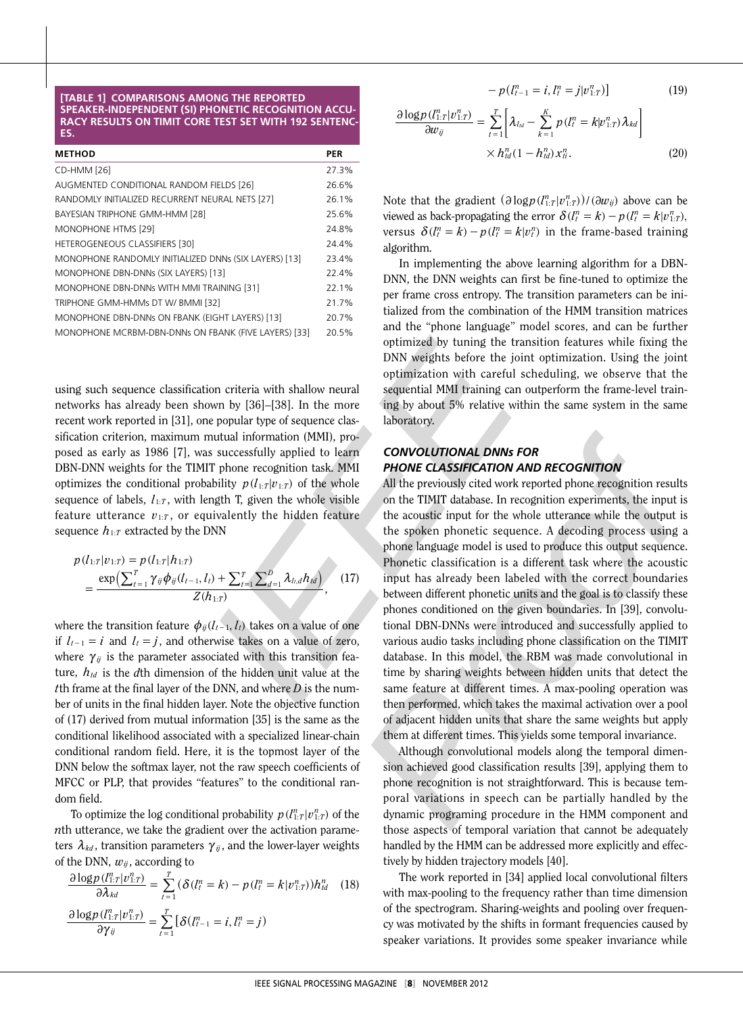#### **[TABLE 1] COMPARISONS AMONG THE REPORTED SPEAKER-INDEPENDENT (SI) PHONETIC RECOGNITION ACCU-**RACY RESULTS ON TIMIT CORE TEST SET WITH 192 SENTENC**es.**

| <b>METHOD</b>                                         | PER   |
|-------------------------------------------------------|-------|
| CD-HMM [26]                                           | 27.3% |
| AUGMENTED CONDITIONAL RANDOM FIELDS [26]              | 26.6% |
| RANDOMLY INITIALIZED RECURRENT NEURAL NETS [27]       | 26.1% |
| BAYESIAN TRIPHONE GMM-HMM [28]                        | 25.6% |
| MONOPHONE HTMS [29]                                   | 24.8% |
| <b>HETEROGENEOUS CLASSIFIERS [30]</b>                 | 24.4% |
| MONOPHONE RANDOMLY INITIALIZED DNNs (SIX LAYERS) [13] | 23.4% |
| MONOPHONE DBN-DNNs (SIX LAYERS) [13]                  | 22.4% |
| MONOPHONE DBN-DNNs WITH MMI TRAINING [31]             | 22.1% |
| TRIPHONE GMM-HMMs DT W/ BMMI [32]                     | 21.7% |
| MONOPHONE DBN-DNNs ON FBANK (EIGHT LAYERS) [13]       | 20.7% |
| MONOPHONE MCRBM-DBN-DNNs ON FBANK (FIVE LAYERS) [33]  | 20.5% |

using such sequence classification criteria with shallow neural networks has already been shown by [36]–[38]. In the more recent work reported in [31], one popular type of sequence clas sification criterion, maximum mutual information (MMI), pro posed as early as 1986 [7], was successfully applied to learn DBN-DNN weights for the TIMIT phone recognition task. MMI optimizes the conditional probability  $p(l_{1:T} | v_{1:T})$  of the whole sequence of labels,  $l_{1:T}$ , with length T, given the whole visible feature utterance  $v_{1:T}$ , or equivalently the hidden feature sequence  $h_{1:T}$  extracted by the DNN

$$
p(l_{1:T}|v_{1:T}) = p(l_{1:T}|h_{1:T})
$$
  
= 
$$
\frac{\exp(\sum_{t=1}^{T} \gamma_{ij} \phi_{ij}(l_{t-1}, l_t) + \sum_{t=1}^{T} \sum_{d=1}^{D} \lambda_{l,d} h_{td})}{Z(h_{1:T})},
$$
 (17)

where the transition feature  $\phi_{ij}(l_{t-1}, l_t)$  takes on a value of one if  $l_{t-1} = i$  and  $l_t = j$ , and otherwise takes on a value of zero, where  $\gamma_{ij}$  is the parameter associated with this transition feature,  $h_{td}$  is the dth dimension of the hidden unit value at the *t*th frame at the final layer of the DNN, and where *D* is the num ber of units in the final hidden layer. Note the objective function of (17) derived from mutual information [35] is the same as the conditional likelihood associated with a specialized linear-chain conditional random field. Here, it is the topmost layer of the DNN below the softmax layer, not the raw speech coefficients of MFCC or PLP, that provides "features" to the conditional ran dom field.

To optimize the log conditional probability  $p(l_{1:T}^n | v_{1:T}^n)$  of the *n*th utterance, we take the gradient over the activation parame ters  $\lambda_{kd}$ , transition parameters  $\gamma_{ij}$ , and the lower-layer weights of the DNN,  $w_{ij}$ , according to

$$
\frac{\partial \log p(l_{1:T}^n | v_{1:T}^n)}{\partial \lambda_{kd}} = \sum_{t=1}^T (\delta(l_t^n = k) - p(l_t^n = k | v_{1:T}^n)) h_{td}^n \quad (18)
$$

$$
\frac{\partial \log p(l_{1:T}^n | v_{1:T}^n)}{\partial \gamma_{ij}} = \sum_{t=1}^T [\delta(l_{t-1}^n = i, l_t^n = j)
$$

$$
-p(l_{t-1}^n = i, l_t^n = j|v_{1:T}^n|] \tag{19}
$$

$$
\frac{\partial \log p\left(\prod_{i:T}^{n} | \nu_{1:T}^{n}\right)}{\partial w_{ij}} = \sum_{t=1}^{T} \left[\lambda_{l_{td}} - \sum_{k=1}^{K} p\left(\prod_{i}^{n} = k | \nu_{1:T}^{n}\right) \lambda_{kd}\right] \times h_{td}^{n}(1 - h_{td}^{n}) x_{it}^{n}.
$$
\n(20)

Note that the gradient  $\left(\frac{\partial \log p(l_{1:T}^n | v_{1:T}^n) }{\partial w_{ij}}\right)$  above can be viewed as back-propagating the error  $\delta(l_i^n = k) - p(l_i^n = k | v_{1:T}^n)$ , ; versus  $\delta(l_i^n = k) - p(l_i^n = k|v_i^n)$  in the frame-based training algorithm.

In implementing the above learning algorithm for a DBN-DNN, the DNN weights can first be fine-tuned to optimize the per frame cross entropy. The transition parameters can be ini tialized from the combination of the HMM transition matrices and the "phone language" model scores, and can be further optimized by tuning the transition features while fixing the DNN weights before the joint optimization. Using the joint optimization with careful scheduling, we observe that the sequential MMI training can outperform the frame-level train ing by about 5% relative within the same system in the same laboratory.

## *Convolutional DNNs for phone classification and reco gnition*

ENAIC (WE LAYESS) and the "phone language" model sores, and can be further<br>
FRANC (FRE LAYESS) 23.3% optimized by tuning the transition features while fixing the<br>
DNN weights hefore the joint optimization. Using the joint All the previously cited work reported phone recognition results on the TIMIT database. In recognition experiments, the input is the acoustic input for the whole utterance while the output is the spoken phonetic sequence. A decoding process using a phone language model is used to produce this output sequence. Phonetic classification is a different task where the acoustic input has already been labeled with the correct boundaries between different phonetic units and the goal is to classify these phones conditioned on the given boundaries. In [39], convolu tional DBN-DNNs were introduced and successfully applied to various audio tasks including phone classification on the TIMIT database. In this model, the RBM was made convolutional in time by sharing weights between hidden units that detect the same feature at different times. A max-pooling operation was then performed, which takes the maximal activation over a pool of adjacent hidden units that share the same weights but apply them at different times. This yields some temporal invariance.

Although convolutional models along the temporal dimen sion achieved good classification results [39], applying them to phone recognition is not straightforward. This is because tem poral variations in speech can be partially handled by the dynamic programing procedure in the HMM component and those aspects of temporal variation that cannot be adequately handled by the HMM can be addressed more explicitly and effec tively by hidden trajectory models [40].

The work reported in [34] applied local convolutional filters with max-pooling to the frequency rather than time dimension of the spectrogram. Sharing-weights and pooling over frequen cy was motivated by the shifts in formant frequencies caused by speaker variations. It provides some speaker invariance while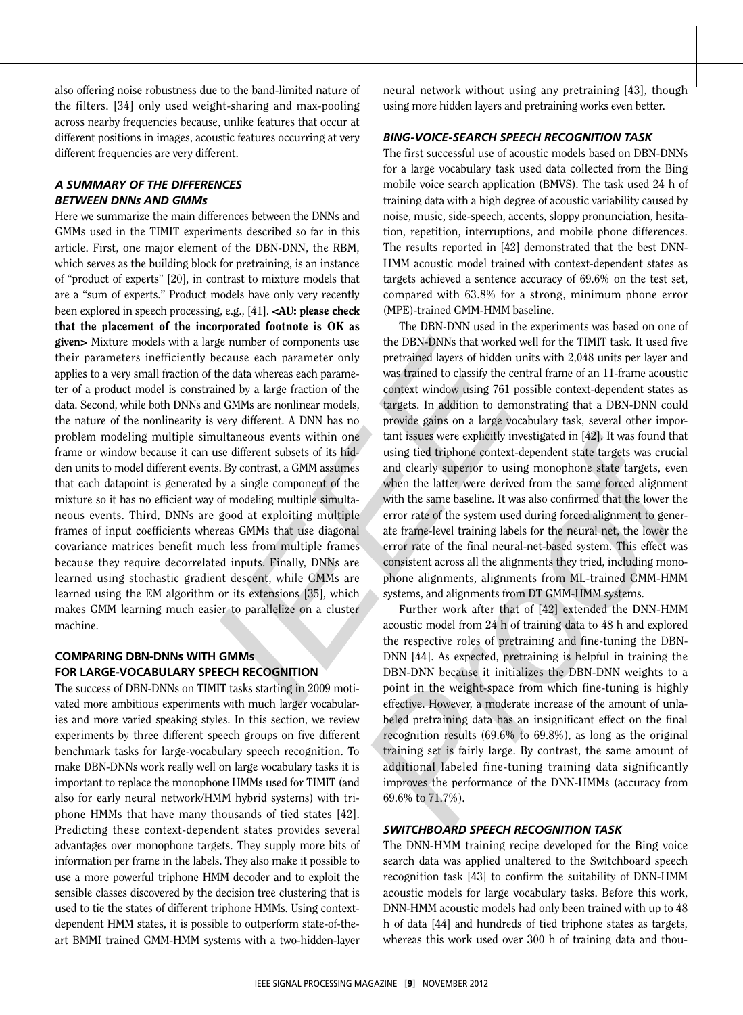also offering noise robustness due to the band-limited nature of the filters. [34] only used weight-sharing and max-pooling across nearby frequencies because, unlike features that occur at different positions in images, acoustic features occurring at very different frequencies are very different.

# *A summary of the differences between DNNs and GMMs*

Here we summarize the main differences between the DNNs and GMMs used in the TIMIT experiments described so far in this article. First, one major element of the DBN-DNN, the RBM, which serves as the building block for pretraining, is an instance of "product of experts" [20], in contrast to mixture models that are a "sum of experts." Product models have only very recently been explored in speech processing, e.g., [41]. <AU: please check that the placement of the incorporated footnote is OK as given> Mixture models with a large number of components use their parameters inefficiently because each parameter only applies to a very small fraction of the data whereas each parame ter of a product model is constrained by a large fraction of the data. Second, while both DNNs and GMMs are nonlinear models, the nature of the nonlinearity is very different. A DNN has no problem modeling multiple simultaneous events within one frame or window because it can use different subsets of its hid den units to model different events. By contrast, a GMM assumes that each datapoint is generated by a single component of the mixture so it has no efficient way of modeling multiple simulta neous events. Third, DNNs are good at exploiting multiple frames of input coefficients whereas GMMs that use diagonal covariance matrices benefit much less from multiple frames because they require decorrelated inputs. Finally, DNNs are learned using stochastic gradient descent, while GMMs are learned using the EM algorithm or its extensions [35], which makes GMM learning much easier to parallelize on a cluster machine.

# **Com paring DBN -DNN s with GMM s FOR LARGE-VOCABULARY SPEECH RECOGNITION**

The success of DBN-DNNs on TIMIT tasks starting in 2009 moti vated more ambitious experiments with much larger vocabularies and more varied speaking styles. In this section, we review experiments by three different speech groups on five different benchmark tasks for large-vocabulary speech recognition. To make DBN-DNNs work really well on large vocabulary tasks it is important to replace the monophone HMMs used for TIMIT (and also for early neural network/HMM hybrid systems) with tri phone HMMs that have many thousands of tied states [42]. Predicting these context-dependent states provides several advantages over monophone targets. They supply more bits of information per frame in the labels. They also make it possible to use a more powerful triphone HMM decoder and to exploit the sensible classes discovered by the decision tree clustering that is used to tie the states of different triphone HMMs. Using contextdependent HMM states, it is possible to outperform state-of-theart BMMI trained GMM-HMM systems with a two-hidden-layer neural network without using any pretraining [43], though using more hidden layers and pretraining works even better.

#### *Bin - Voice-Search speech reco gnition ta s k g*

The first successful use of acoustic models based on DBN-DNNs for a large vocabulary task used data collected from the Bing mobile voice search application (BMVS). The task used 24 h of training data with a high degree of acoustic variability caused by noise, music, side-speech, accents, sloppy pronunciation, hesita tion, repetition, interruptions, and mobile phone differences. The results reported in [42] demonstrated that the best DNN-HMM acoustic model trained with context-dependent states as targets achieved a sentence accuracy of 69.6% on the test set, compared with 63.8% for a strong, minimum phone error (MPE)-trained GMM-HMM baseline.

corporated footnots is OK as<br>
The DBN-DNN used in the experiments was based on one of<br>
frogenumber of components use the DBN-DNNs that worked well for the TIMIT task. It used for<br>
because each parameter only pretrained la The DBN-DNN used in the experiments was based on one of the DBN-DNNs that worked well for the TIMIT task. It used five pretrained layers of hidden units with 2,048 units per layer and was trained to classify the central frame of an 11-frame acoustic context window using 761 possible context-dependent states as targets. In addition to demonstrating that a DBN-DNN could provide gains on a large vocabulary task, several other important issues were explicitly investigated in [42]. It was found that using tied triphone context-dependent state targets was crucial and clearly superior to using monophone state targets, even when the latter were derived from the same forced alignment with the same baseline. It was also confirmed that the lower the error rate of the system used during forced alignment to generate frame-level training labels for the neural net, the lower the error rate of the final neural-net-based system. This effect was consistent across all the alignments they tried, including mono phone alignments, alignments from ML-trained GMM-HMM systems, and alignments from DT GMM-HMM systems.

Further work after that of [42] extended the DNN-HMM acoustic model from 24 h of training data to 48 h and explored the respective roles of pretraining and fine-tuning the DBN-DNN [44]. As expected, pretraining is helpful in training the DBN-DNN because it initializes the DBN-DNN weights to a point in the weight-space from which fine-tuning is highly effective. However, a moderate increase of the amount of unla beled pretraining data has an insignificant effect on the final recognition results (69.6% to 69.8%), as long as the original training set is fairly large. By contrast, the same amount of additional labeled fine-tuning training data significantly improves the performance of the DNN-HMMs (accuracy from 69.6% to 71.7%).

#### *Switchboard speech reco gnition ta s k*

The DNN-HMM training recipe developed for the Bing voice search data was applied unaltered to the Switchboard speech recognition task [43] to confirm the suitability of DNN-HMM acoustic models for large vocabulary tasks. Before this work, DNN-HMM acoustic models had only been trained with up to 48 h of data [44] and hundreds of tied triphone states as targets, whereas this work used over 300 h of training data and thou -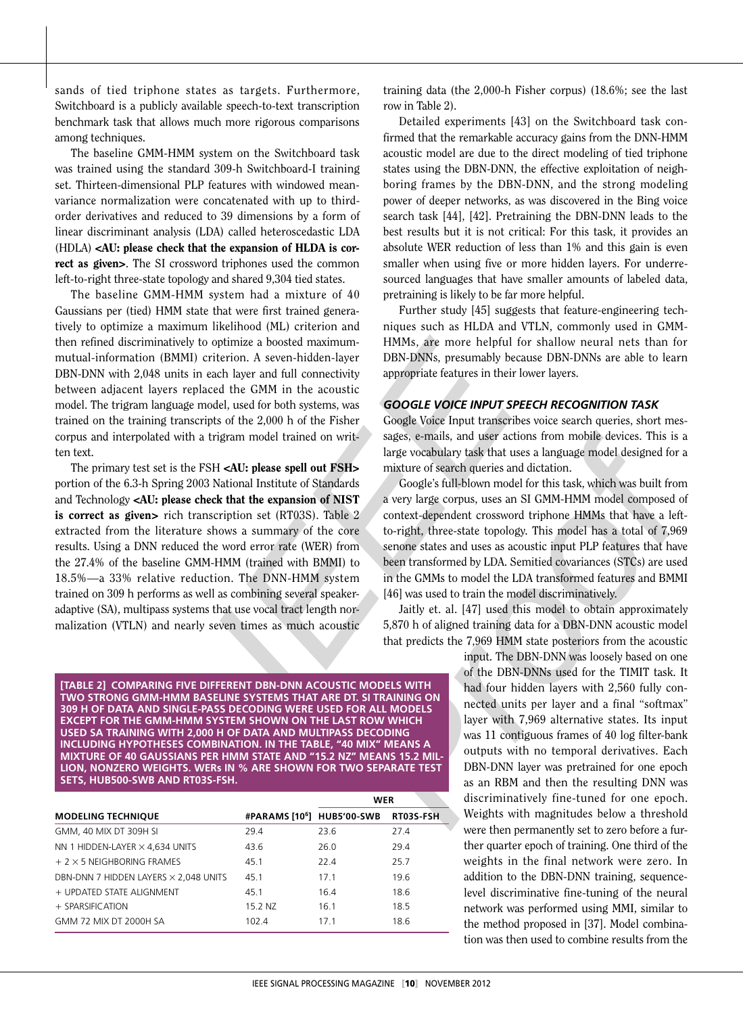sands of tied triphone states as targets. Furthermore, Switchboard is a publicly available speech-to-text transcription benchmark task that allows much more rigorous comparisons among techniques.

The baseline GMM-HMM system on the Switchboard task was trained using the standard 309-h Switchboard-I training set. Thirteen-dimensional PLP features with windowed meanvariance normalization were concatenated with up to thirdorder derivatives and reduced to 39 dimensions by a form of linear discriminant analysis (LDA) called heteroscedastic LDA (HDLA) <AU: please check that the expansion of HLDA is correct as given>. The SI crossword triphones used the common left-to-right three-state topology and shared 9,304 tied states.

The baseline GMM-HMM system had a mixture of 40 Gaussians per (tied) HMM state that were first trained genera tively to optimize a maximum likelihood (ML) criterion and then refined discriminatively to optimize a boosted maximummutual-information (BMMI) criterion. A seven-hidden-layer DBN-DNN with 2,048 units in each layer and full connectivity between adjacent layers replaced the GMM in the acoustic model. The trigram language model, used for both systems, was trained on the training transcripts of the 2,000 h of the Fisher corpus and interpolated with a trigram model trained on writ ten text.

The primary test set is the FSH <AU: please spell out FSH> portion of the 6.3-h Spring 2003 National Institute of Standards and Technology <AU: please check that the expansion of NIST is correct as given> rich transcription set (RT03S). Table 2 extracted from the literature shows a summary of the core results. Using a DNN reduced the word error rate (WER) from the 27.4% of the baseline GMM-HMM (trained with BMMI) to 18.5%—a 33% relative reduction. The DNN-HMM system trained on 309 h performs as well as combining several speakeradaptive (SA), multipass systems that use vocal tract length normalization (VTLN) and nearly seven times as much acoustic

training data (the 2,000-h Fisher corpus) (18.6%; see the last row in Table 2).

Detailed experiments [43] on the Switchboard task con firmed that the remarkable accuracy gains from the DNN-HMM acoustic model are due to the direct modeling of tied triphone states using the DBN-DNN, the effective exploitation of neighboring frames by the DBN-DNN, and the strong modeling power of deeper networks, as was discovered in the Bing voice search task [44], [42]. Pretraining the DBN-DNN leads to the best results but it is not critical: For this task, it provides an absolute WER reduction of less than 1% and this gain is even smaller when using five or more hidden layers. For underre sourced languages that have smaller amounts of labeled data, pretraining is likely to be far more helpful.

Further study [45] suggests that feature-engineering techniques such as HLDA and VTLN, commonly used in GMM-HMMs, are more helpful for shallow neural nets than for DBN-DNNs, presumably because DBN-DNNs are able to learn appropriate features in their lower layers.

#### GOOGLE VOICE INPUT SPEECH RECOGNITION TASK

Google Voice Input transcribes voice search queries, short mes sages, e-mails, and user actions from mobile devices. This is a large vocabulary task that uses a language model designed for a mixture of search queries and dictation.

Google's full-blown model for this task, which was built from a very large corpus, uses an SI GMM-HMM model composed of context-dependent crossword triphone HMMs that have a leftto-right, three-state topology. This model has a total of 7,969 senone states and uses as acoustic input PLP features that have been transformed by LDA. Semitied covariances (STCs) are used in the GMMs to model the LDA transformed features and BMMI [46] was used to train the model discriminatively.

Jaitly et. al. [47] used this model to obtain approximately 5,870 h of aligned training data for a DBN-DNN acoustic model that predicts the 7,969 HMM state posteriors from the acoustic

Ikelihood (ML) criterion and THOM-<br>
incition of the Day and VTLA), commonly used in GMM-<br>
optimize a boosted maximum-<br>
HMMs, are more helpful for shallow neural nets than for<br>
retierion. A seven-hidden-layer BRN-DNNs, pre input. The DBN-DNN was loosely based on one of the DBN-DNNs used for the TIMIT task. It had four hidden layers with 2,560 fully con nected units per layer and a final "softmax" layer with 7,969 alternative states. Its input was 11 contiguous frames of 40 log filter-bank outputs with no temporal derivatives. Each DBN-DNN layer was pretrained for one epoch as an RBM and then the resulting DNN was discriminatively fine-tuned for one epoch. Weights with magnitudes below a threshold were then permanently set to zero before a further quarter epoch of training. One third of the weights in the final network were zero. In addition to the DBN-DNN training, sequencelevel discriminative fine-tuning of the neural network was performed using MMI, similar to the method proposed in [37]. Model combina tion was then used to combine results from the

**[Table 2] Com paring five different DBN -DNN a coustic models with tw o str ong GMM-HMM b aseline syste ms th at are DT. SI tr aining on 309 h of d ata and single-pass dec oding were used f or all models EXCEPT FOR THE GMM-HMM SYSTEM SHOWN ON THE LAST ROW WHICH** USED SA TRAINING WITH 2,000 H OF DATA AND MULTIPASS DECODING INCLUDING HYPOTHESES COMBINATION. IN THE TABLE, "40 MIX" MEANS A MIXTURE OF 40 GAUSSIANS PER HMM STATE AND "15.2 NZ" MEANS 15.2 MIL-LION, NONZERO WEIGHTS. WERs IN % ARE SHOWN FOR TWO SEPARATE TEST **sets, Hub500-SWB and RT03 S -FSH .**

|                                              |         | WER                                    |           |
|----------------------------------------------|---------|----------------------------------------|-----------|
| <b>MODELING TECHNIQUE</b>                    |         | #PARAMS [10 <sup>6</sup> ] HUB5'00-SWB | RT03S-FSH |
| GMM, 40 MIX DT 309H SI                       | 29.4    | 23.6                                   | 27.4      |
| NN 1 HIDDEN-LAYER $\times$ 4,634 UNITS       | 43.6    | 26.0                                   | 29.4      |
| $+2 \times 5$ NEIGHBORING FRAMES             | 45.1    | 22.4                                   | 25.7      |
| DBN-DNN 7 HIDDEN LAYERS $\times$ 2,048 UNITS | 45.1    | 17.1                                   | 19.6      |
| + UPDATED STATE ALIGNMENT                    | 45.1    | 16.4                                   | 18.6      |
| $+$ SPARSIFICATION                           | 15.2 NZ | 16.1                                   | 18.5      |
| GMM 72 MIX DT 2000H SA                       | 102.4   | 17.1                                   | 18.6      |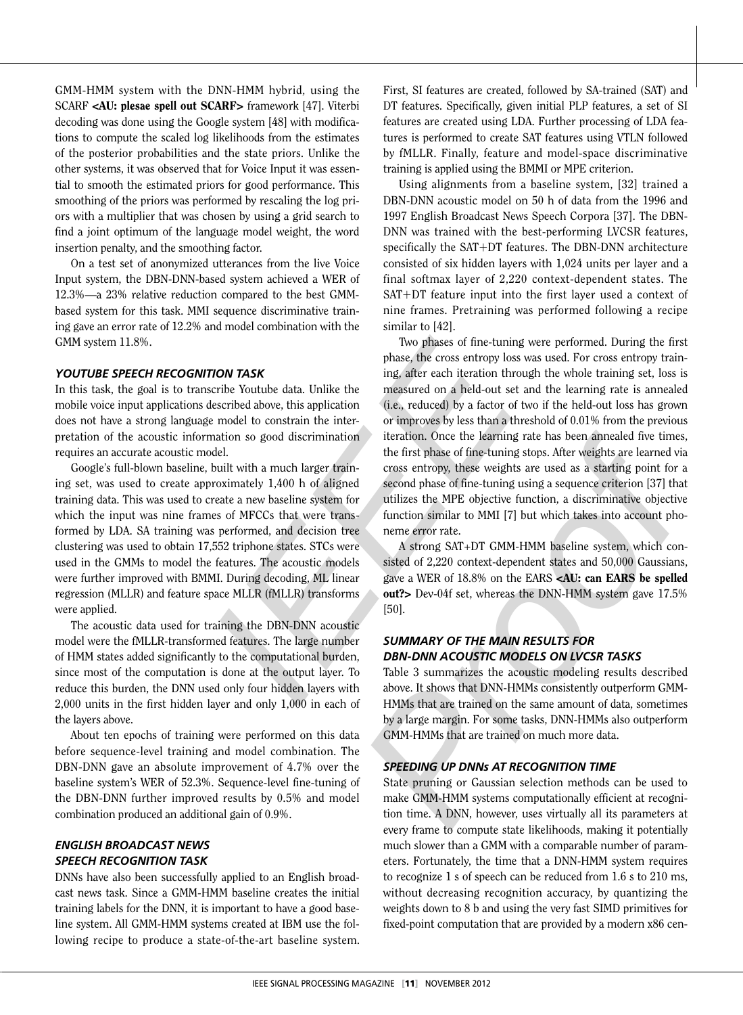GMM-HMM system with the DNN-HMM hybrid, using the SCARF <AU: plesae spell out SCARF> framework [47]. Viterbi decoding was done using the Google system [48] with modifica tions to compute the scaled log likelihoods from the estimates of the posterior probabilities and the state priors. Unlike the other systems, it was observed that for Voice Input it was essen tial to smooth the estimated priors for good performance. This smoothing of the priors was performed by rescaling the log pri ors with a multiplier that was chosen by using a grid search to find a joint optimum of the language model weight, the word insertion penalty, and the smoothing factor.

On a test set of anonymized utterances from the live Voice Input system, the DBN-DNN-based system achieved a WER of 12.3%—a 23% relative reduction compared to the best GMMbased system for this task. MMI sequence discriminative training gave an error rate of 12.2% and model combination with the GMM system 11.8%.

#### YOUTUBE SPEECH RECOGNITION TASK

In this task, the goal is to transcribe Youtube data. Unlike the mobile voice input applications described above, this application does not have a strong language model to constrain the interpretation of the acoustic information so good discrimination requires an accurate acoustic model.

Google's full-blown baseline, built with a much larger train ing set, was used to create approximately 1,400 h of aligned training data. This was used to create a new baseline system for which the input was nine frames of MFCCs that were trans formed by LDA. SA training was performed, and decision tree clustering was used to obtain 17,552 triphone states. STCs were used in the GMMs to model the features. The acoustic models were further improved with BMMI. During decoding, ML linear regression (MLLR) and feature space MLLR (fMLLR) transforms were applied.

The acoustic data used for training the DBN-DNN acoustic model were the fMLLR-transformed features. The large number of HMM states added significantly to the computational burden, since most of the computation is done at the output layer. To reduce this burden, the DNN used only four hidden layers with 2,000 units in the first hidden layer and only 1,000 in each of the layers above.

About ten epochs of training were performed on this data before sequence-level training and model combination. The DBN-DNN gave an absolute improvement of 4.7% over the baseline system's WER of 52.3%. Sequence-level fine-tuning of the DBN-DNN further improved results by 0.5% and model combination produced an additional gain of 0.9%.

# *English Broadcast News speech recognition task*

DNNs have also been successfully applied to an English broad cast news task. Since a GMM-HMM baseline creates the initial training labels for the DNN, it is important to have a good base line system. All GMM-HMM systems created at IBM use the fol lowing recipe to produce a state-of-the-art baseline system.

First, SI features are created, followed by SA-trained (SAT) and DT features. Specifically, given initial PLP features, a set of SI features are created using LDA. Further processing of LDA fea tures is performed to create SAT features using VTLN followed by fMLLR. Finally, feature and model-space discriminative training is applied using the BMMI or MPE criterion.

Using alignments from a baseline system, [32] trained a DBN-DNN acoustic model on 50 h of data from the 1996 and 1997 English Broadcast News Speech Corpora [37]. The DBN-DNN was trained with the best-performing LVCSR features, specifically the SAT +DT features. The DBN-DNN architecture consisted of six hidden layers with 1,024 units per layer and a final softmax layer of 2,220 context-dependent states. The SAT +DT feature input into the first layer used a context of nine frames. Pretraining was performed following a recipe similar to [42].

and model combination with the smiline to [42]. The tuning were performed. During the first<br>
phases of me-tuning were performed. During the first<br> **TRON TASK**<br>
IDENTIFY the signalizer and the leading that who it tailing s Two phases of fine-tuning were performed. During the first phase, the cross entropy loss was used. For cross entropy train ing, after each iteration through the whole training set, loss is measured on a held-out set and the learning rate is annealed (i.e., reduced) by a factor of two if the held-out loss has grown or improves by less than a threshold of 0.01% from the previous iteration. Once the learning rate has been annealed five times, the first phase of fine-tuning stops. After weights are learned via cross entropy, these weights are used as a starting point for a second phase of fine-tuning using a sequence criterion [37] that utilizes the MPE objective function, a discriminative objective function similar to MMI [ 7] but which takes into account pho neme error rate.

A strong SAT+DT GMM-HMM baseline system, which con sisted of 2,220 context-dependent states and 50,000 Gaussians, gave a WER of 18.8% on the EARS <AU: can EARS be spelled out?> Dev-04f set, whereas the DNN-HMM system gave 17.5% [50].

#### *Summary of the main results for D B N -DNN acoustic model s on LVCS R ta s ks*

Table 3 summarizes the acoustic modeling results described above. It shows that DNN-HMMs consistently outperform GMM-HMMs that are trained on the same amount of data, sometimes by a large margin. For some tasks, DNN-HMMs also outperform GMM-HMMs that are trained on much more data.

#### *Speedin g up DNNs at reco gnition time*

State pruning or Gaussian selection methods can be used to make GMM-HMM systems computationally efficient at recogni tion time. A DNN, however, uses virtually all its parameters at every frame to compute state likelihoods, making it potentially much slower than a GMM with a comparable number of param eters. Fortunately, the time that a DNN-HMM system requires to recognize 1 s of speech can be reduced from 1.6 s to 210 ms, without decreasing recognition accuracy, by quantizing the weights down to 8 b and using the very fast SIMD primitives for fixed-point computation that are provided by a modern x86 cen -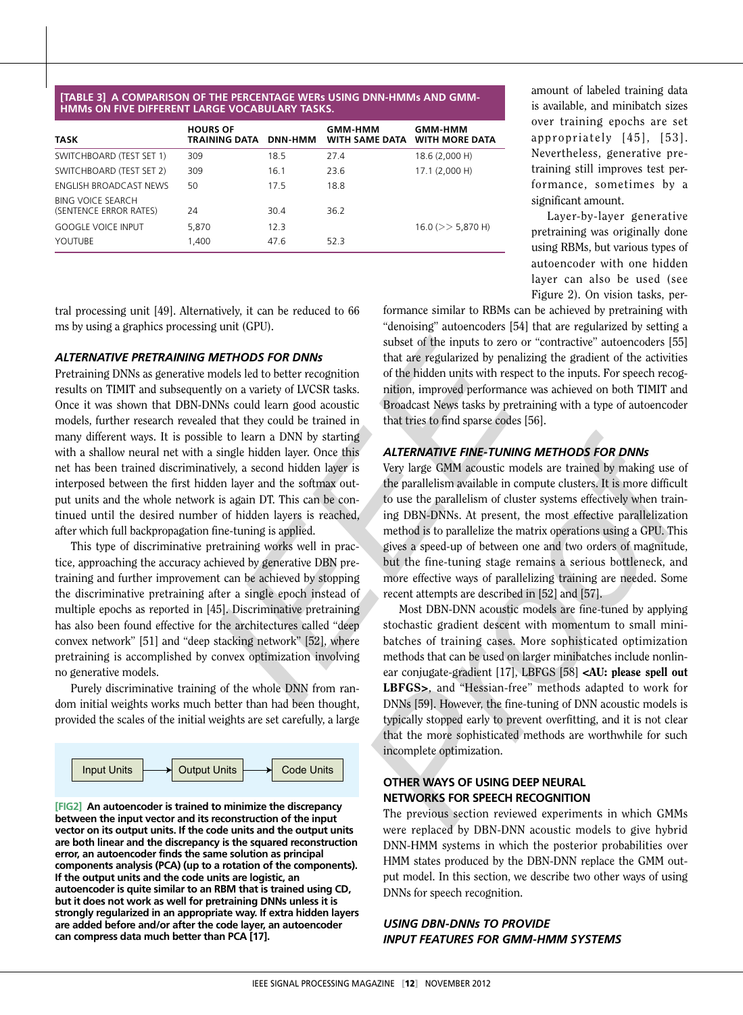#### **s using DNN - HMM s and GMM-HMMs on five different large vocabulary tasks.**

| TASK                                        | <b>HOURS OF</b><br>TRAINING DATA | <b>DNN-HMM</b> | GMM-HMM<br><b>WITH SAME DATA</b> | <b>GMM-HMM</b><br><b>WITH MORE DATA</b> |
|---------------------------------------------|----------------------------------|----------------|----------------------------------|-----------------------------------------|
| SWITCHBOARD (TEST SET 1)                    | 309                              | 18.5           | 27.4                             | 18.6 (2,000 H)                          |
| SWITCHBOARD (TEST SET 2)                    | 309                              | 16.1           | 23.6                             | 17.1 (2,000 H)                          |
| ENGLISH BROADCAST NEWS                      | 50                               | 17.5           | 18.8                             |                                         |
| BING VOICE SEARCH<br>(SENTENCE ERROR RATES) | 24                               | 30.4           | 36.2                             |                                         |
| GOOGLE VOICE INPUT                          | 5,870                            | 12.3           |                                  | $16.0$ ( $>>$ 5,870 H)                  |
| YOUTUBE                                     | 1.400                            | 47.6           | 52.3                             |                                         |

amount of labeled training data is available, and minibatch sizes over training epochs are set appropriately [45], [53]. Nevertheless, generative pre training still improves test performance, sometimes by a significant amount.

Layer-by-layer generative pretraining was originally done using RBMs, but various types of autoencoder with one hidden layer can also be used (see Figure 2). On vision tasks, per -

tral processing unit [49]. Alternatively, it can be reduced to 66 ms by using a graphics processing unit (GPU).

#### *Alternative pretraining methods for DNNs*

Pretraining DNNs as generative models led to better recognition results on TIMIT and subsequently on a variety of LVCSR tasks. Once it was shown that DBN-DNNs could learn good acoustic models, further research revealed that they could be trained in many different ways. It is possible to learn a DNN by starting with a shallow neural net with a single hidden layer. Once this net has been trained discriminatively, a second hidden layer is interposed between the first hidden layer and the softmax out put units and the whole network is again DT. This can be con tinued until the desired number of hidden layers is reached, after which full backpropagation fine-tuning is applied. **[Table 3]** a CoMPaRISON OF THE PERCENTAGE WANDED (TABLE PRECENTAGE WANDED AND SWEET AND SWEET AND NOT THE SERVE TO THE SWEET AND SWEET AND NOT THE SWEET AND NOT THE SWEET AND A CONSULT IN ENGLAND AND THE SERVE TO A CONSUL

This type of discriminative pretraining works well in prac tice, approaching the accuracy achieved by generative DBN pretraining and further improvement can be achieved by stopping the discriminative pretraining after a single epoch instead of multiple epochs as reported in [45]. Discriminative pretraining has also been found effective for the architectures called "deep convex network" [51] and "deep stacking network" [52], where pretraining is accomplished by convex optimization involving no generative models.

Purely discriminative training of the whole DNN from ran dom initial weights works much better than had been thought, provided the scales of the initial weights are set carefully, a large



**[ Fig2] An autoencoder is trained to minimize the discrepancy between the input vector and its reconstruction of the input vector on its output units. If the code units and the output units are both linear and the discrepancy is the squared reconstruction error, an autoencoder finds the same solution as principal components analysis (PCA) (up to a rotation of the components). If the output units and the code units are logistic, an autoencoder is quite similar to an RBM that is trained using CD, but it does not work as well for pretraining DNNs unless it is strongly regularized in an appropriate way. If extra hidden layers are added before and/or after the code layer, an autoencoder** 

formance similar to RBMs can be achieved by pretraining with "denoising" autoencoders [54] that are regularized by setting a subset of the inputs to zero or "contractive" autoencoders [55] that are regularized by penalizing the gradient of the activities of the hidden units with respect to the inputs. For speech recog nition, improved performance was achieved on both TIMIT and Broadcast News tasks by pretraining with a type of autoencoder that tries to find sparse codes [56].

#### *Alternative fine-tuning method s for DNNs*

Very large GMM acoustic models are trained by making use of the parallelism available in compute clusters. It is more difficult to use the parallelism of cluster systems effectively when train ing DBN-DNNs. At present, the most effective parallelization method is to parallelize the matrix operations using a GPU. This gives a speed-up of between one and two orders of magnitude, but the fine-tuning stage remains a serious bottleneck, and more effective ways of parallelizing training are needed. Some recent attempts are described in [52] and [57].

stand (GPU).<br>
states of the inputs to zero or "contractive" autoenousers [55]<br>
that are regularized by penalizing the gradient contents and the set of the inputs to zero or "contractive" autoenousers [55]<br>
that are regula Most DBN-DNN acoustic models are fine-tuned by applying stochastic gradient descent with momentum to small minibatches of training cases. More sophisticated optimization methods that can be used on larger minibatches include nonlin ear conjugate-gradient [17], LBFGS [58] <AU: please spell out LBFGS> , and "Hessian-free" methods adapted to work for DNNs [59]. However, the fine-tuning of DNN acoustic models is typically stopped early to prevent overfitting, and it is not clear that the more sophisticated methods are worthwhile for such incomplete optimization.

#### **Other Ways of Using Deep N e u r al NETWORKS FOR SPEECH RECOGNITION**

The previous section reviewed experiments in which GMMs were replaced by DBN-DNN acoustic models to give hybrid DNN-HMM systems in which the posterior probabilities over HMM states produced by the DBN-DNN replace the GMM out put model. In this section, we describe two other ways of using DNNs for speech recognition.

#### USING DBN-DNNs TO PROVIDE *g input features for GMM-HMM s ystems*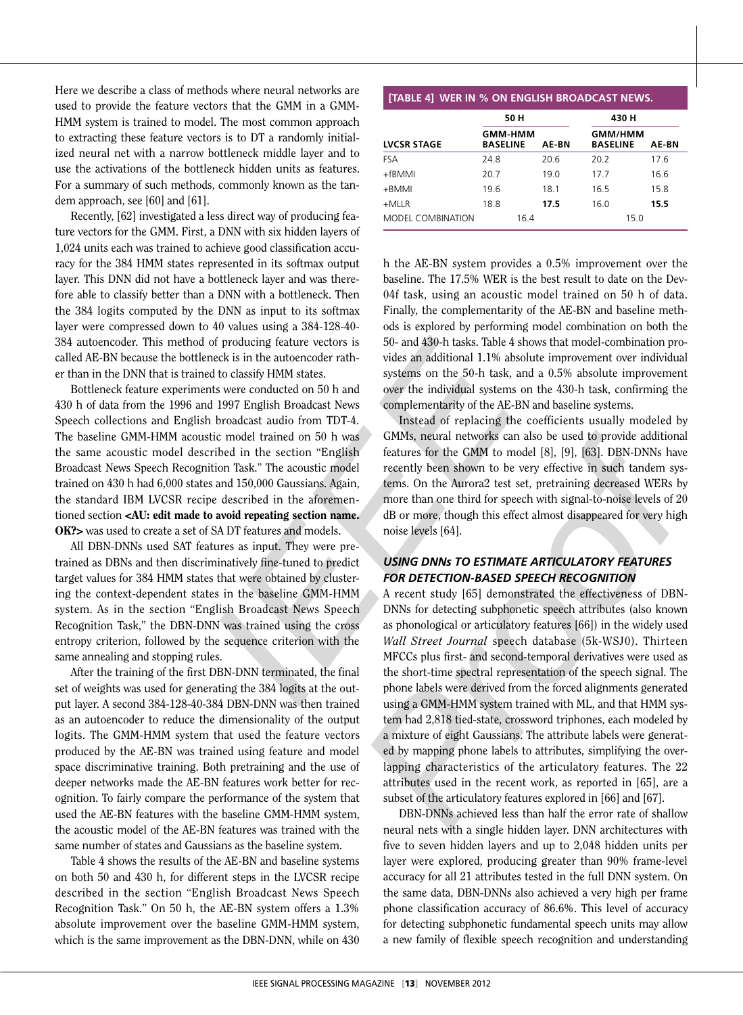Here we describe a class of methods where neural networks are used to provide the feature vectors that the GMM in a GMM-HMM system is trained to model. The most common approach to extracting these feature vectors is to DT a randomly initial ized neural net with a narrow bottleneck middle layer and to use the activations of the bottleneck hidden units as features. For a summary of such methods, commonly known as the tan dem approach, see [60] and [61].

Recently, [62] investigated a less direct way of producing fea ture vectors for the GMM. First, a DNN with six hidden layers of 1,024 units each was trained to achieve good classification accu racy for the 384 HMM states represented in its softmax output layer. This DNN did not have a bottleneck layer and was there fore able to classify better than a DNN with a bottleneck. Then the 384 logits computed by the DNN as input to its softmax layer were compressed down to 40 values using a 384-128-40- 384 autoencoder. This method of producing feature vectors is called AE-BN because the bottleneck is in the autoencoder rath er than in the DNN that is trained to classify HMM states.

Bottleneck feature experiments were conducted on 50 h and 430 h of data from the 1996 and 1997 English Broadcast News Speech collections and English broadcast audio from TDT-4. The baseline GMM-HMM acoustic model trained on 50 h was the same acoustic model described in the section "English Broadcast News Speech Recognition Task." The acoustic model trained on 430 h had 6,000 states and 150,000 Gaussians. Again, the standard IBM LVCSR recipe described in the aforemen tioned section <AU: edit made to avoid repeating section name. OK?> was used to create a set of SA DT features and models.

All DBN-DNNs used SAT features as input. They were pre trained as DBNs and then discriminatively fine-tuned to predict target values for 384 HMM states that were obtained by clustering the context-dependent states in the baseline GMM-HMM system. As in the section "English Broadcast News Speech Recognition Task," the DBN-DNN was trained using the cross entropy criterion, followed by the sequence criterion with the same annealing and stopping rules.

After the training of the first DBN-DNN terminated, the final set of weights was used for generating the 384 logits at the output layer. A second 384-128-40-384 DBN-DNN was then trained as an autoencoder to reduce the dimensionality of the output logits. The GMM-HMM system that used the feature vectors produced by the AE-BN was trained using feature and model space discriminative training. Both pretraining and the use of deeper networks made the AE-BN features work better for rec ognition. To fairly compare the performance of the system that used the AE-BN features with the baseline GMM-HMM system, the acoustic model of the AE-BN features was trained with the same number of states and Gaussians as the baseline system.

Table 4 shows the results of the AE-BN and baseline systems on both 50 and 430 h, for different steps in the LVCSR recipe described in the section "English Broadcast News Speech Recognition Task." On 50 h, the AE-BN system offers a 1.3% absolute improvement over the baseline GMM-HMM system, which is the same improvement as the DBN-DNN, while on 430

|                    | 50 H                              |       | 430 H                                      |      |
|--------------------|-----------------------------------|-------|--------------------------------------------|------|
| <b>LVCSR STAGE</b> | <b>GMM-HMM</b><br><b>BASELINE</b> | AE-BN | <b>GMM/HMM</b><br><b>BASELINE</b><br>AE-BN |      |
| <b>FSA</b>         | 24.8                              | 20.6  | 20.2                                       | 17.6 |
| $+f$ BMMI          | 20.7                              | 19.0  | 17.7                                       | 16.6 |
| +BMMI              | 19.6                              | 18.1  | 16.5                                       | 15.8 |
| $+MLLR$            | 18.8                              | 17.5  | 16.0                                       | 15.5 |
| MODEL COMBINATION  | 16.4                              |       | 15.0                                       |      |

h the AE-BN system provides a 0.5% improvement over the baseline. The 17.5% WER is the best result to date on the Dev-04f task, using an acoustic model trained on 50 h of data. Finally, the complementarity of the AE-BN and baseline meth ods is explored by performing model combination on both the 50- and 430-h tasks. Table 4 shows that model-combination pro vides an additional 1.1% absolute improvement over individual systems on the 50-h task, and a 0.5% absolute improvement over the individual systems on the 430-h task, confirming the complementarity of the AE-BN and baseline systems.

Instead of replacing the coefficients usually modeled by GMMs, neural networks can also be used to provide additional features for the GMM to model [8], [9], [63]. DBN-DNNs have recently been shown to be very effective in such tandem sys tems. On the Aurora2 test set, pretraining decreased WERs by more than one third for speech with signal-to-noise levels of 20 dB or more, though this effect almost disappeared for very high noise levels [64].

#### *Usin g DNNs to estimate articulatory features for detection-ba sed speech reco gnition*

40 values using a 384-128-40<br>of producing feature vectors is  $\approx$  60 is explored by performing model combination on both the<br>neck is in the autoencoder rath-<br>vides an additional 1.1% absolute improvement over ridividual<br>s A recent study [65] demonstrated the effectiveness of DBN-DNNs for detecting subphonetic speech attributes (also known as phonological or articulatory features [66]) in the widely used *Wall Street Journal* speech database (5k-WSJ0). Thirteen MFCCs plus first- and second-temporal derivatives were used as the short-time spectral representation of the speech signal. The phone labels were derived from the forced alignments generated using a GMM-HMM system trained with ML, and that HMM sys tem had 2,818 tied-state, crossword triphones, each modeled by a mixture of eight Gaussians. The attribute labels were generat ed by mapping phone labels to attributes, simplifying the overlapping characteristics of the articulatory features. The 22 attributes used in the recent work, as reported in [65], are a subset of the articulatory features explored in [66] and [67]. **ETABLE 4]** WER IN % ON ENCHAIR BROADCAST NEWS.<br> **EXERCISE TRANSPARENT SCALE TRANSPARENT SCALE AND SOMETHER SEARS FASS THE CHANGE TRANSPARENT TRANSPARENT TRANSPARENT TRANSPARENT TRANSPARENT TRANSPARENT TRANSPARENT TRANSPAR** 

DBN-DNNs achieved less than half the error rate of shallow neural nets with a single hidden layer. DNN architectures with five to seven hidden layers and up to 2,048 hidden units per layer were explored, producing greater than 90% frame-level accuracy for all 21 attributes tested in the full DNN system. On the same data, DBN-DNNs also achieved a very high per frame phone classification accuracy of 86.6%. This level of accuracy for detecting subphonetic fundamental speech units may allow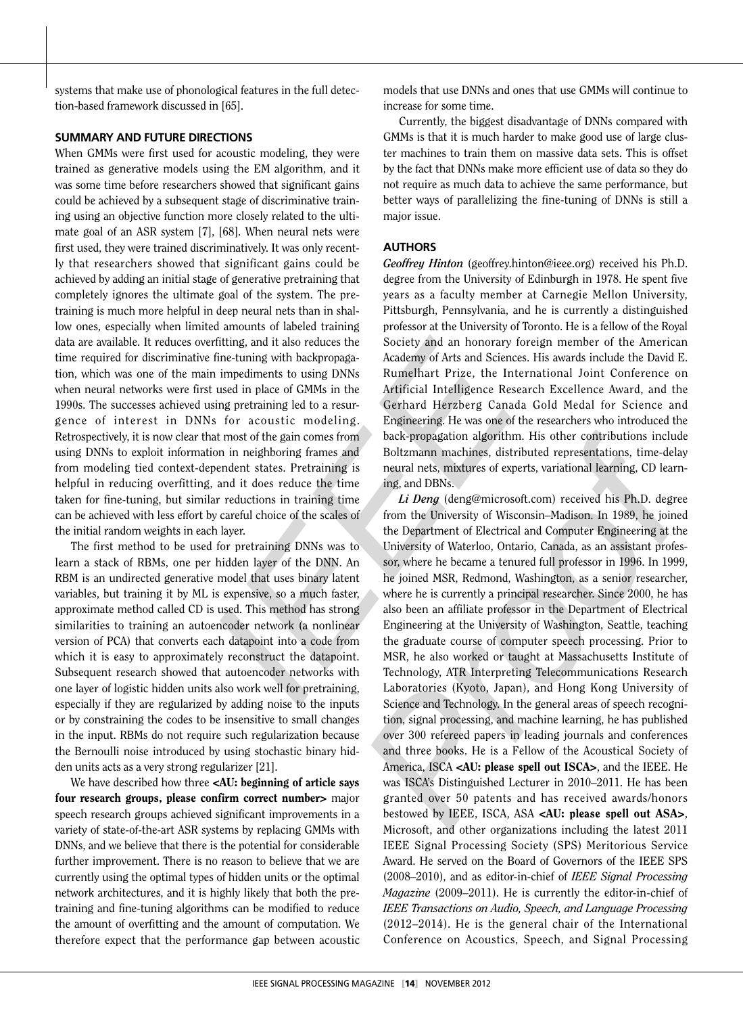systems that make use of phonological features in the full detec tion-based framework discussed in [65].

#### **SUMMARY AND FUTURE DIRECTIONS**

When GMMs were first used for acoustic modeling, they were trained as generative models using the EM algorithm, and it was some time before researchers showed that significant gains could be achieved by a subsequent stage of discriminative train ing using an objective function more closely related to the ulti mate goal of an ASR system [7], [68]. When neural nets were first used, they were trained discriminatively. It was only recently that researchers showed that significant gains could be achieved by adding an initial stage of generative pretraining that completely ignores the ultimate goal of the system. The pre training is much more helpful in deep neural nets than in shal low ones, especially when limited amounts of labeled training data are available. It reduces overfitting, and it also reduces the time required for discriminative fine-tuning with backpropaga tion, which was one of the main impediments to using DNNs when neural networks were first used in place of GMMs in the 1990s. The successes achieved using pretraining led to a resurgence of interest in DNNs for acoustic modeling. Retrospectively, it is now clear that most of the gain comes from using DNNs to exploit information in neighboring frames and from modeling tied context-dependent states. Pretraining is helpful in reducing overfitting, and it does reduce the time taken for fine-tuning, but similar reductions in training time can be achieved with less effort by careful choice of the scales of the initial random weights in each layer.

The first method to be used for pretraining DNNs was to learn a stack of RBMs, one per hidden layer of the DNN. An RBM is an undirected generative model that uses binary latent variables, but training it by ML is expensive, so a much faster, approximate method called CD is used. This method has strong similarities to training an autoencoder network (a nonlinear version of PCA) that converts each datapoint into a code from which it is easy to approximately reconstruct the datapoint. Subsequent research showed that autoencoder networks with one layer of logistic hidden units also work well for pretraining, especially if they are regularized by adding noise to the inputs or by constraining the codes to be insensitive to small changes in the input. RBMs do not require such regularization because the Bernoulli noise introduced by using stochastic binary hid den units acts as a very strong regularizer [21].

We have described how three <AU: beginning of article says four research groups, please confirm correct number> major speech research groups achieved significant improvements in a variety of state-of-the-art ASR systems by replacing GMMs with DNNs, and we believe that there is the potential for considerable further improvement. There is no reason to believe that we are currently using the optimal types of hidden units or the optimal network architectures, and it is highly likely that both the pre training and fine-tuning algorithms can be modified to reduce the amount of overfitting and the amount of computation. We therefore expect that the performance gap between acoustic

models that use DNNs and ones that use GMMs will continue to increase for some time.

Currently, the biggest disadvantage of DNNs compared with GMMs is that it is much harder to make good use of large clus ter machines to train them on massive data sets. This is offset by the fact that DNNs make more efficient use of data so they do not require as much data to achieve the same performance, but better ways of parallelizing the fine-tuning of DNNs is still a major issue.

#### **Authors**

*Geoffrey Hinton* (geoffrey.hinton@ieee.org) received his Ph.D. degree from the University of Edinburgh in 1978. He spent five years as a faculty member at Carnegie Mellon University, Pittsburgh, Pennsylvania, and he is currently a distinguished professor at the University of Toronto. He is a fellow of the Royal Society and an honorary foreign member of the American Academy of Arts and Sciences. His awards include the David E. Rumelhart Prize, the International Joint Conference on Artificial Intelligence Research Excellence Award, and the Gerhard Herzberg Canada Gold Medal for Science and Engineering. He was one of the researchers who introduced the back-propagation algorithm. His other contributions include Boltzmann machines, distributed representations, time-delay neural nets, mixtures of experts, variational learning, CD learn ing, and DBNs.

ed amounts of labeled training professor at the University of Toroto. He is a fellow of the Royal entired in fine-tuning with backpropaga-<br>
and monotary foreign member of the American<br>
fine-tuning with backpropaga-<br>
Academ *Li Deng* (deng@microsoft.com) received his Ph.D. degree from the University of Wisconsin–Madison. In 1989, he joined the Department of Electrical and Computer Engineering at the University of Waterloo, Ontario, Canada, as an assistant profes sor, where he became a tenured full professor in 1996. In 1999, he joined MSR, Redmond, Washington, as a senior researcher, where he is currently a principal researcher. Since 2000, he has also been an affiliate professor in the Department of Electrical Engineering at the University of Washington, Seattle, teaching the graduate course of computer speech processing. Prior to MSR, he also worked or taught at Massachusetts Institute of Technology, ATR Interpreting Telecommunications Research Laboratories (Kyoto, Japan), and Hong Kong University of Science and Technology. In the general areas of speech recognition, signal processing, and machine learning, he has published over 300 refereed papers in leading journals and conferences and three books. He is a Fellow of the Acoustical Society of America, ISCA <AU: please spell out ISCA>, and the IEEE. He was ISCA's Distinguished Lecturer in 2010–2011. He has been granted over 50 patents and has received awards/honors bestowed by IEEE, ISCA, ASA <AU: please spell out ASA>, Microsoft, and other organizations including the latest 2011 IEEE Signal Processing Society (SPS) Meritorious Service Award. He served on the Board of Governors of the IEEE SPS (2008–2010), and as editor-in-chief of *IEEE Signal Processing Magazine* (2009–2011). He is currently the editor-in-chief of *IEEE Transactions on Audio, Speech, and Language Processing*  (2012–2014). He is the general chair of the International Conference on Acoustics, Speech, and Signal Processing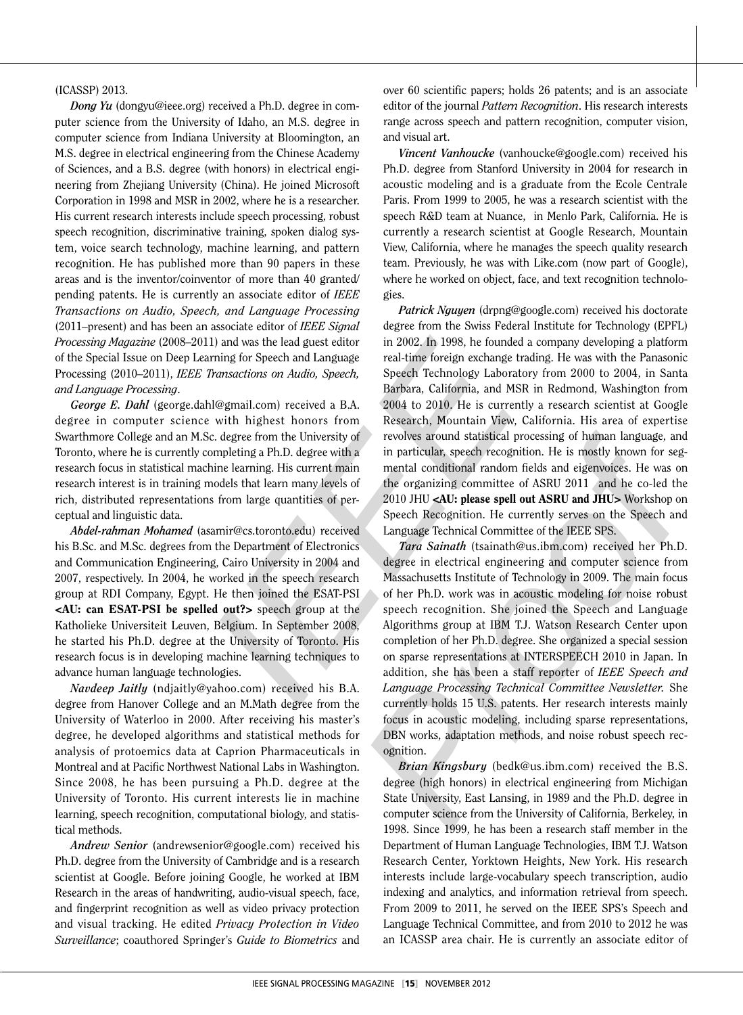#### (ICASSP) 2013.

*Dong Yu* (dongyu@ieee.org) received a Ph.D. degree in com puter science from the University of Idaho, an M.S. degree in computer science from Indiana University at Bloomington, an M.S. degree in electrical engineering from the Chinese Academy of Sciences, and a B.S. degree (with honors) in electrical engi neering from Zhejiang University (China). He joined Microsoft Corporation in 1998 and MSR in 2002, where he is a researcher. His current research interests include speech processing, robust speech recognition, discriminative training, spoken dialog sys tem, voice search technology, machine learning, and pattern recognition. He has published more than 90 papers in these areas and is the inventor/coinventor of more than 40 granted/ pending patents. He is currently an associate editor of *IEEE Transactions on Audio, Speech, and Language Processing* (2011–present) and has been an associate editor of *IEEE Signal Processing Magazine* (2008–2011) and was the lead guest editor of the Special Issue on Deep Learning for Speech and Language Processing (2010–2011), *IEEE Transactions on Audio, Speech, and Language Processing* .

*George E. Dahl* (george.dahl@gmail.com) received a B.A. degree in computer science with highest honors from Swarthmore College and an M.Sc. degree from the University of Toronto, where he is currently completing a Ph.D. degree with a research focus in statistical machine learning. His current main research interest is in training models that learn many levels of rich, distributed representations from large quantities of per ceptual and linguistic data.

*Abdel-rahman Mohamed* (asamir@cs.toronto.edu) received his B.Sc. and M.Sc. degrees from the Department of Electronics and Communication Engineering, Cairo University in 2004 and 2007, respectively. In 2004, he worked in the speech research group at RDI Company, Egypt. He then joined the ESAT-PSI <AU: can ESAT-PSI be spelled out?> speech group at the Katholieke Universiteit Leuven, Belgium. In September 2008, he started his Ph.D. degree at the University of Toronto. His research focus is in developing machine learning techniques to advance human language technologies.

*Navdeep Jaitly* (ndjaitly@yahoo.com) received his B.A. degree from Hanover College and an M.Math degree from the University of Waterloo in 2000. After receiving his master's degree, he developed algorithms and statistical methods for analysis of protoemics data at Caprion Pharmaceuticals in Montreal and at Pacific Northwest National Labs in Washington. Since 2008, he has been pursuing a Ph.D. degree at the University of Toronto. His current interests lie in machine learning, speech recognition, computational biology, and statis tical methods.

*Andrew Senior* (andrewsenior@google.com) received his Ph.D. degree from the University of Cambridge and is a research scientist at Google. Before joining Google, he worked at IBM Research in the areas of handwriting, audio-visual speech, face, and fingerprint recognition as well as video privacy protection and visual tracking. He edited *Privacy Protection in Video Surveillance*; coauthored Springer's *Guide to Biometrics* and

over 60 scientific papers; holds 26 patents; and is an associate editor of the journal *Pattern Recognition*. His research interests range across speech and pattern recognition, computer vision, and visual art.

*Vincent Vanhoucke* (vanhoucke@google.com) received his Ph.D. degree from Stanford University in 2004 for research in acoustic modeling and is a graduate from the Ecole Centrale Paris. From 1999 to 2005, he was a research scientist with the speech R&D team at Nuance, in Menlo Park, California. He is currently a research scientist at Google Research, Mountain View, California, where he manages the speech quality research team. Previously, he was with Like.com (now part of Google), where he worked on object, face, and text recognition technolo gies.

*Patrick Nguyen* (drpng@google.com) received his doctorate degree from the Swiss Federal Institute for Technology (EPFL) in 2002. In 1998, he founded a company developing a platform real-time foreign exchange trading. He was with the Panasonic Speech Technology Laboratory from 2000 to 2004, in Santa Barbara, California, and MSR in Redmond, Washington from 2004 to 2010. He is currently a research scientist at Google Research, Mountain View, California. His area of expertise revolves around statistical processing of human language, and in particular, speech recognition. He is mostly known for seg mental conditional random fields and eigenvoices. He was on the organizing committee of ASRU 2011 and he co-led the 2010 JHU <AU: please spell out ASRU and JHU> Workshop on Speech Recognition. He currently serves on the Speech and Language Technical Committee of the IEEE SPS.

associate editor of IEEE Signar degree from the Swiss Federal Institute for Technology (BPFL)<br>
1) and was the lead guest editor in 2002. In 1998, he founded a company developing a platform<br>
1) and was only along real-time *Tara Sainath* (tsainath@us.ibm.com) received her Ph.D. degree in electrical engineering and computer science from Massachusetts Institute of Technology in 2009. The main focus of her Ph.D. work was in acoustic modeling for noise robust speech recognition. She joined the Speech and Language Algorithms group at IBM T.J. Watson Research Center upon completion of her Ph.D. degree. She organized a special session on sparse representations at INTERSPEECH 2010 in Japan. In addition, she has been a staff reporter of *IEEE Speech and Language Processing Technical Committee Newsletter.* She currently holds 15 U.S. patents. Her research interests mainly focus in acoustic modeling, including sparse representations, DBN works, adaptation methods, and noise robust speech recognition.

*Brian Kingsbury* (bedk@us.ibm.com) received the B.S. degree (high honors) in electrical engineering from Michigan State University, East Lansing, in 1989 and the Ph.D. degree in computer science from the University of California, Berkeley, in 1998. Since 1999, he has been a research staff member in the Department of Human Language Technologies, IBM T.J. Watson Research Center, Yorktown Heights, New York. His research interests include large-vocabulary speech transcription, audio indexing and analytics, and information retrieval from speech. From 2009 to 2011, he served on the IEEE SPS's Speech and Language Technical Committee, and from 2010 to 2012 he was an ICASSP area chair. He is currently an associate editor of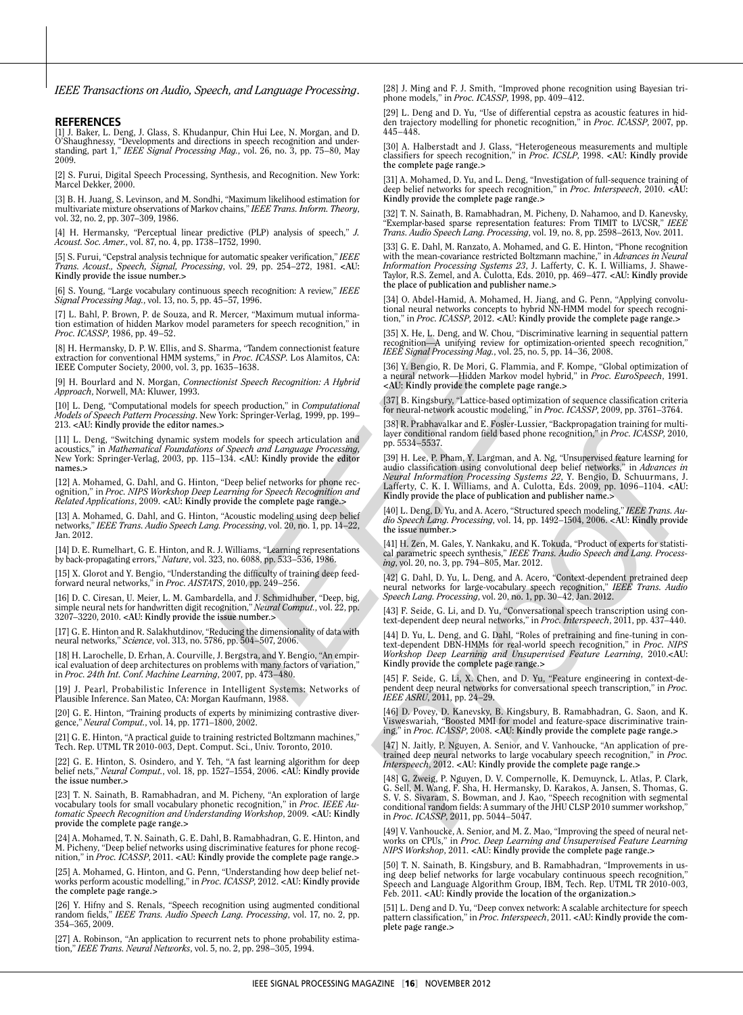*IEEE Transactions on Audio, Speech, and Language Processing*.

**REFERENCES**<br>[1] J. Baker, L. Deng, J. Glass, S. Khudanpur, Chin Hui Lee, N. Morgan, and D.<br>O'Shaughnessy, "Developments and directions in speech recognition and under-<br>standing, part 1," *IEEE Signal Processing Mag.*, vol

[2] S. Furui, Digital Speech Processing, Synthesis, and Recognition. New York: Marcel Dekker, 2000 .

[3] B. H. Juang, S. Levinson, and M. Sondhi, "Maximum likelihood estimation for multivariate mixture observations of Markov chains," *IEEE Trans. Inform. Theory*, vol. 32, no. 2, pp. 307–309, 1986 .

[4] H. Hermansky, "Perceptual linear predictive (PLP) analysis of speech," *J. Acoust. Soc. Amer.*, vol. 87, no. 4, pp. 1738–1752, 1990 .

[5] S. Furui, "Cepstral analysis technique for automatic speaker verification," *IEEE Trans. Acoust., Speech, Signal, Processing*, vol. 29, pp. 254–272, 1981. **<AU: Kindly provide the issue number.>**

[6] S. Young, "Large vocabulary continuous speech recognition: A review," *IEEE Signal Processing Mag.*, vol. 13, no. 5, pp. 45–57, 1996 .

[7] L. Bahl, P. Brown, P. de Souza, and R. Mercer, "Maximum mutual informa tion estimation of hidden Markov model parameters for speech recognition," in *Proc. ICASSP*, 1986, pp. 49–52 .

[8] H. Hermansky, D. P. W. Ellis, and S. Sharma, "Tandem connectionist feature extraction for conventional HMM systems," in *Proc. ICASSP*. Los Alamitos, CA: IEEE Computer Society, 2000, vol. 3, pp. 1635–1638 .

[9] H. Bourlard and N. Morgan, *Connectionist Speech Recognition: A Hybrid Approach*, Norwell, MA: Kluwer, 1993 .

[10] L. Deng, "Computational models for speech production," in *Computational Models of Speech Pattern Processing*. New York: Springer-Verlag, 1999, pp. 199 – 213. **<AU: Kindly provide the editor names.>**

[11] L. Deng, "Switching dynamic system models for speech articulation and acoustics," in *Mathematical Foundations of Speech and Language Processing*, New York: Springer-Verlag, 2003, pp. 115–134. **<AU: Kindly provide the editor names.>**

[12] A. Mohamed, G. Dahl, and G. Hinton, "Deep belief networks for phone recognition," in *Proc. NIPS Workshop Deep Learning for Speech Recognition and Related Applications*, 2009. **<AU: Kindly provide the complete page range.>**

[13] A. Mohamed, G. Dahl, and G. Hinton, "Acoustic modeling using deep belief networks," *IEEE Trans. Audio Speech Lang. Processing,* vol. 20, no. 1, pp. 14–22,<br>Jan. 2012.

[14] D. E. Rumelhart, G. E. Hinton, and R. J. Williams, "Learning representations by back-propagating errors," *Nature*, vol. 323, no. 6088, pp. 533–536, 1986 .

[15] X. Glorot and Y. Bengio, "Understanding the difficulty of training deep feed - forward neural networks," in *Proc. AISTATS*, 2010, pp. 249–256 .

[16] D. C. Ciresan, U. Meier, L. M. Gambardella, and J. Schmidhuber, "Deep, big, simple neural nets for handwritten digit recognition," *Neural Comput.*, vol. 22, pp. 3207–3220, 2010. **<AU: Kindly provide the issue number.>**

[17] G. E. Hinton and R. Salakhutdinov, "Reducing the dimensionality of data with neural networks," *Science*, vol. 313, no. 5786, pp. 504–507, 2006 .

[18] H. Larochelle, D. Erhan, A. Courville, J. Bergstra, and Y. Bengio, "An empirical evaluation of deep architectures on problems with many factors of variation," in *Proc. 24th Int. Conf. Machine Learning*, 2007, pp. 473–480 .

[19] J. Pearl, Probabilistic Inference in Intelligent Systems: Networks of Plausible Inference. San Mateo, CA: Morgan Kaufmann, 1988 .

[20] G. E. Hinton, "Training products of experts by minimizing contrastive diver-gence," *Neural Comput.*, vol. 14, pp. 1771–1800, 2002.

[21] G. E. Hinton, "A practical guide to training restricted Boltzmann machines," Tech. Rep. UTML TR 2010-003, Dept. Comput. Sci., Univ. Toronto, 2010 .

[22] G. E. Hinton, S. Osindero, and Y. Teh, "A fast learning algorithm for deep belief nets," *Neural Comput.*, vol. 18, pp. 1527–1554, 2006. **<AU: Kindly provide the issue number.>**

[23] T. N. Sainath, B. Ramabhadran, and M. Picheny, "An exploration of large vocabulary tools for small vocabulary phonetic recognition," in *Proc. IEEE Au tomatic Speech Recognition and Understanding Workshop*, 2009. **<AU: Kindly provide the complete page range.>**

A. Mohamed, T. N. Sainath, G. E. Dahl, B. Ramabhadran, G. E. Hinton, and M. Picheny, "Deep belief networks using discriminative features for phone recog nition," in *Proc. ICASSP*, 2011. **<AU: Kindly provide the complete page range.>**

[25] A. Mohamed, G. Hinton, and G. Penn, "Understanding how deep belief net - works perform acoustic modelling," in *Proc. ICASSP*, 2012. **<AU: Kindly provide the complete page range. >**

[26] Y. Hifny and S. Renals, "Speech recognition using augmented conditional random fields," *IEEE Trans. Audio Speech Lang. Processing*, vol. 17, no. 2, pp. 354–365, 2009 .

[27] A. Robinson, "An application to recurrent nets to phone probability estimation," *IEEE Trans. Neural Networks*, vol. 5, no. 2, pp. 298–305, 1994 .

[28] J. Ming and F. J. Smith, "Improved phone recognition using Bayesian triphone models," in *Proc. ICASSP*, 1998, pp. 409–412 .

[29] L. Deng and D. Yu, "Use of differential cepstra as acoustic features in hidden trajectory modelling for phonetic recognition," in *Proc. ICASSP*, 2007, pp. 445–448 .

[30] A. Halberstadt and J. Glass, "Heterogeneous measurements and multiple classifiers for speech recognition," in *Proc. ICSLP*, 1998. **<AU: Kindly provide the complete page range.>**

[31] A. Mohamed, D. Yu, and L. Deng, "Investigation of full-sequence training of deep belief networks for speech recognition," in *Proc. Interspeech*, 2010. **<AU: Kindly provide the complete page range.>**

[32] T. N. Sainath, B. Ramabhadran, M. Picheny, D. Nahamoo, and D. Kanevsky, "Exemplar-based sparse representation features: From TIMIT to LVCSR," *IEEE Trans. Audio Speech Lang. Processing*, vol. 19, no. 8, pp. 2598–2613, Nov. 2011 .

[33] G. E. Dahl, M. Ranzato, A. Mohamed, and G. E. Hinton, "Phone recognition with the mean-covariance restricted Boltzmann machine," in *Advances in Neural*<br>*Information Processing Systems 23, J. L*afferty, C. K. I. Williams, J. Shawe-<br>Taylor, R.S. Zemel, and A. Culotta, Eds. 2010, pp. 469–477. <AU **the place of publication and publisher name.>**

[34] O. Abdel-Hamid, A. Mohamed, H. Jiang, and G. Penn, "Applying convolu - tional neural networks concepts to hybrid NN-HMM model for speech recogni tion," in *Proc. ICASSP*, 2012. **<AU: Kindly provide the complete page range.>**

[35] X. He, L. Deng, and W. Chou, "Discriminative learning in sequential pattern recognition—A unifying review for optimization-oriented speech recognition," *IEEE Signal Processing Mag.*, vol. 25, no. 5, pp. 14–36, 2008 .

[36] Y. Bengio, R. De Mori, G. Flammia, and F. Kompe, "Global optimization of a neural network—Hidden Markov model hybrid," in *Proc. EuroSpeech*, 1991. **<AU: Kindly provide the complete page range.>**

[37] B. Kingsbury, "Lattice-based optimization of sequence classification criteria for neural-network acoustic modeling," in *Proc. ICASSP*, 2009, pp. 3761–3764 .

[38] R. Prabhavalkar and E. Fosler-Lussier, "Backpropagation training for multi - layer conditional random field based phone recognition," in *Proc. ICASSP*, 2010, pp. 5534–5537 .

j parameters for speech recognition," in the speech recognition," in the speech recognition," (18) North and the speech of the complete parameters in the speech and the speech and the speech and the speech and the speech [39] H. Lee, P. Pham, Y. Largman, and A. Ng, "Unsupervised feature learning for audio classification using convolutional deep belief networks," in *Advances in Neural Information Processing Systems 22*, Y. Bengio, D. Schuurmans, J. Lafferty, C. K. I. Williams, and A. Culotta, Eds. 2009, pp. 1096–1104. **<AU: Kindly provide the place of publication and publisher name.>**

[40] L. Deng, D. Yu, and A. Acero, "Structured speech modeling," IEEE Trans. Au*dio Speech Lang. Processing*, vol. 14, pp. 1492–1504, 2006. **<AU: Kindly provide the issue number.>**

[41] H. Zen, M. Gales, Y. Nankaku, and K. Tokuda, "Product of experts for statisti - cal parametric speech synthesis," *IEEE Trans. Audio Speech and Lang. Process ing*, vol. 20, no. 3, pp. 794–805, Mar. 2012 .

[42] G. Dahl, D. Yu, L. Deng, and A. Acero, "Context-dependent pretrained deep<br>neural networks for large-vocabulary speech recognition," IEEE Trans. Audio<br>Speech Lang. Processing, vol. 20, no. 1, pp. 30–42, Jan. 2012.

[43] F. Seide, G. Li, and D. Yu, "Conversational speech transcription using con - text-dependent deep neural networks," in *Proc. Interspeech*, 2011, pp. 437–440 .

[44] D. Yu, L. Deng, and G. Dahl, "Roles of pretraining and fine-tuning in context-dependent DBN-HMMs for real-world speech recognition," in *Proc. NIPS Workshop Deep Learning and Unsupervised Feature Learning*, 2010 .**<AU: Kindly provide the complete page range.>**

[45] F. Seide, G. Li, X. Chen, and D. Yu, "Feature engineering in context-de - pendent deep neural networks for conversational speech transcription," in *Proc. IEEE ASRU*, 2011, pp. 24–29 .

[46] D. Povey, D. Kanevsky, B. Kingsbury, B. Ramabhadran, G. Saon, and K.<br>Visweswariah, "Boosted MMI for model and feature-space discriminative train-<br>ing," in *Proc. ICASSP*, 2008. <AU: Kindly provide the complete page ra

[47] N. Jaitly, P. Nguyen, A. Senior, and V. Vanhoucke, "An application of pretrained deep neural networks to large vocabulary speech recognition," in *Proc. Interspeech*, 2012. **<AU: Kindly provide the complete page range.>**

[48] G. Zweig, P. Nguyen, D. V. Compernolle, K. Demuynck, L. Atlas, P. Clark, G. Sell, M. Wang, F. Sha, H. Hermansky, D. Karakos, A. Jansen, S. Thomas, G.<br>S. V. S. Sivaram, S. Bowman, and J. Kao, "Speech recognition with segmental<br>conditional random fields: A summary of the JHU CLSP 2010 summer work in *Proc. ICASSP*, 2011, pp. 5044–5047 .

[49] V. Vanhoucke, A. Senior, and M. Z. Mao, "Improving the speed of neural net - works on CPUs," in *Proc. Deep Learning and Unsupervised Feature Learning NIPS Workshop*, 2011. **<AU: Kindly provide the complete page range.>**

[50] T. N. Sainath, B. Kingsbury, and B. Ramabhadran, "Improvements in using deep belief networks for large vocabulary continuous speech recognition," Speech and Language Algorithm Group, IBM, Tech. Rep. UTML TR 2010-003, Feb. 2011. **<AU: Kindly provide the location of the organization.>**

[51] L. Deng and D. Yu, "Deep convex network: A scalable architecture for speech pattern classification," in *Proc. Interspeech*, 2011. **<AU: Kindly provide the com plete page range.>**